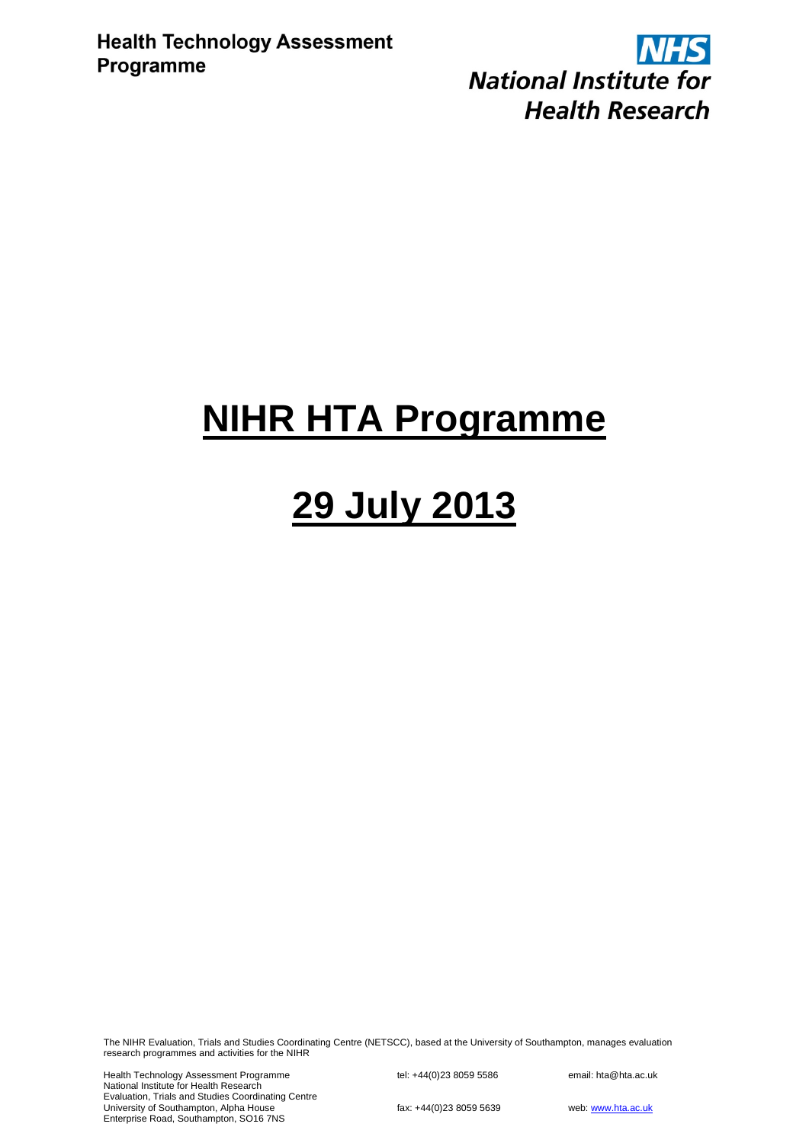**NHS National Institute for Health Research** 

# **NIHR HTA Programme**

# **29 July 2013**

The NIHR Evaluation, Trials and Studies Coordinating Centre (NETSCC), based at the University of Southampton, manages evaluation research programmes and activities for the NIHR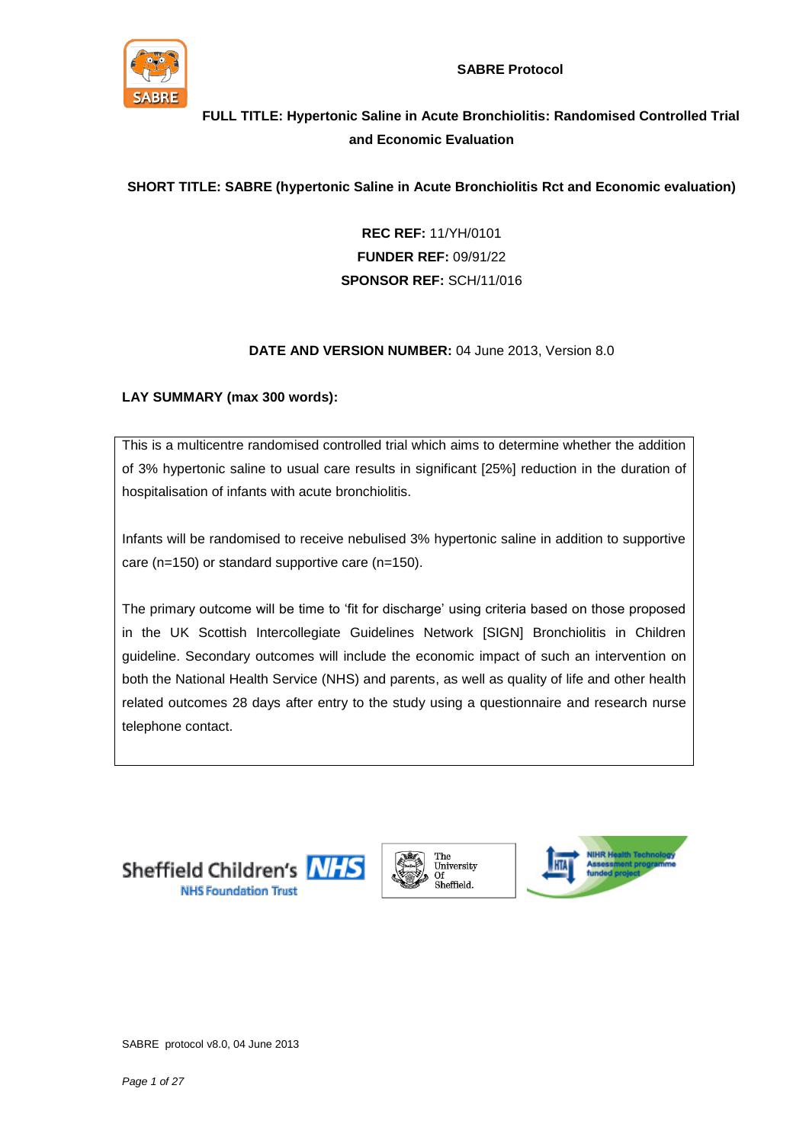

**SABRE Protocol**

# **FULL TITLE: Hypertonic Saline in Acute Bronchiolitis: Randomised Controlled Trial and Economic Evaluation**

### **SHORT TITLE: SABRE (hypertonic Saline in Acute Bronchiolitis Rct and Economic evaluation)**

**REC REF:** 11/YH/0101 **FUNDER REF:** 09/91/22 **SPONSOR REF:** SCH/11/016

#### **DATE AND VERSION NUMBER:** 04 June 2013, Version 8.0

#### **LAY SUMMARY (max 300 words):**

This is a multicentre randomised controlled trial which aims to determine whether the addition of 3% hypertonic saline to usual care results in significant [25%] reduction in the duration of hospitalisation of infants with acute bronchiolitis.

Infants will be randomised to receive nebulised 3% hypertonic saline in addition to supportive care (n=150) or standard supportive care (n=150).

The primary outcome will be time to 'fit for discharge' using criteria based on those proposed in the UK Scottish Intercollegiate Guidelines Network [SIGN] Bronchiolitis in Children guideline. Secondary outcomes will include the economic impact of such an intervention on both the National Health Service (NHS) and parents, as well as quality of life and other health related outcomes 28 days after entry to the study using a questionnaire and research nurse telephone contact.





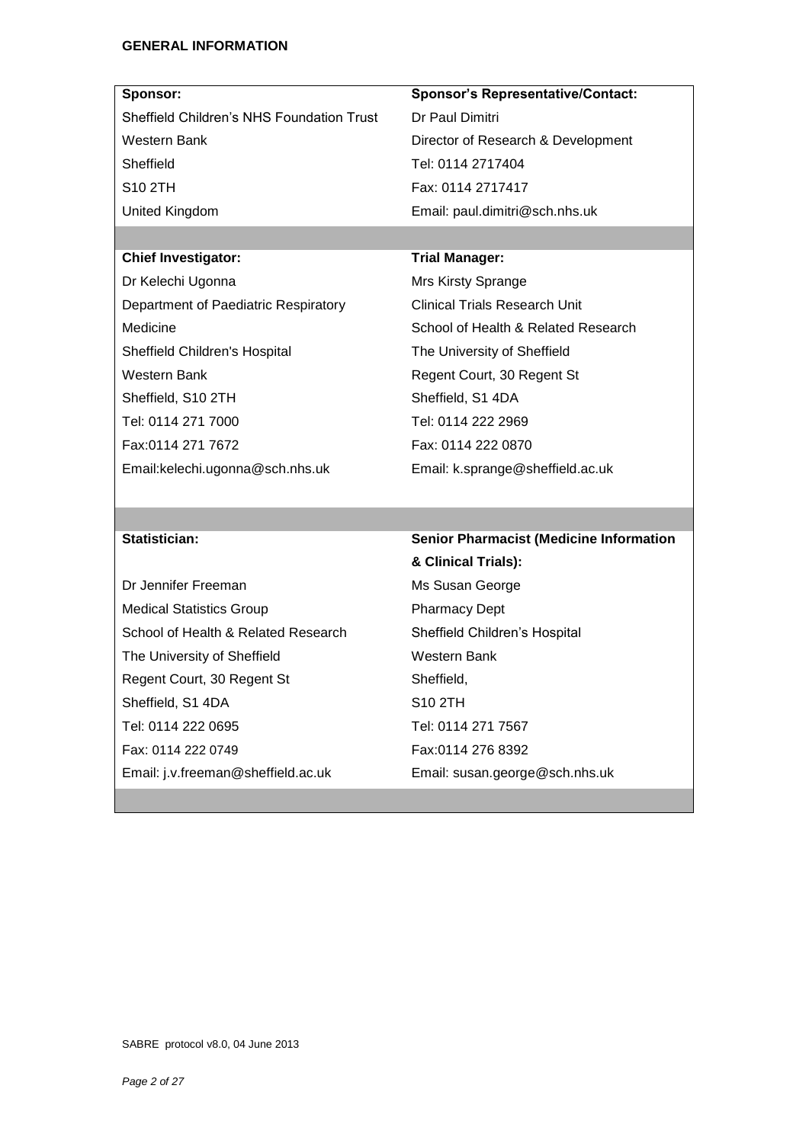| Sponsor:                                  | <b>Sponsor's Representative/Contact:</b> |
|-------------------------------------------|------------------------------------------|
| Sheffield Children's NHS Foundation Trust | Dr Paul Dimitri                          |
| Western Bank                              | Director of Research & Development       |
| Sheffield                                 | Tel: 0114 2717404                        |
| S <sub>10</sub> 2TH                       | Fax: 0114 2717417                        |
| United Kingdom                            | Email: paul.dimitri@sch.nhs.uk           |
|                                           |                                          |

## **Chief Investigator: Trial Manager:**

Dr Kelechi Ugonna Department of Paediatric Respiratory Medicine Sheffield Children's Hospital Western Bank Sheffield, S10 2TH Tel: 0114 271 7000 Fax:0114 271 7672 Email:kelechi.ugonna@sch.nhs.uk

Mrs Kirsty Sprange Clinical Trials Research Unit School of Health & Related Research The University of Sheffield Regent Court, 30 Regent St Sheffield, S1 4DA Tel: 0114 222 2969 Fax: 0114 222 0870 Email: k.sprange@sheffield.ac.uk

Dr Jennifer Freeman Medical Statistics Group School of Health & Related Research The University of Sheffield Regent Court, 30 Regent St Sheffield, S1 4DA Tel: 0114 222 0695 Fax: 0114 222 0749 Email: j.v.freeman@sheffield.ac.uk

## **Statistician: Senior Pharmacist (Medicine Information**

**& Clinical Trials):** Ms Susan George Pharmacy Dept Sheffield Children's Hospital Western Bank Sheffield, S10 2TH Tel: 0114 271 7567 Fax:0114 276 8392 Email: susan.george@sch.nhs.uk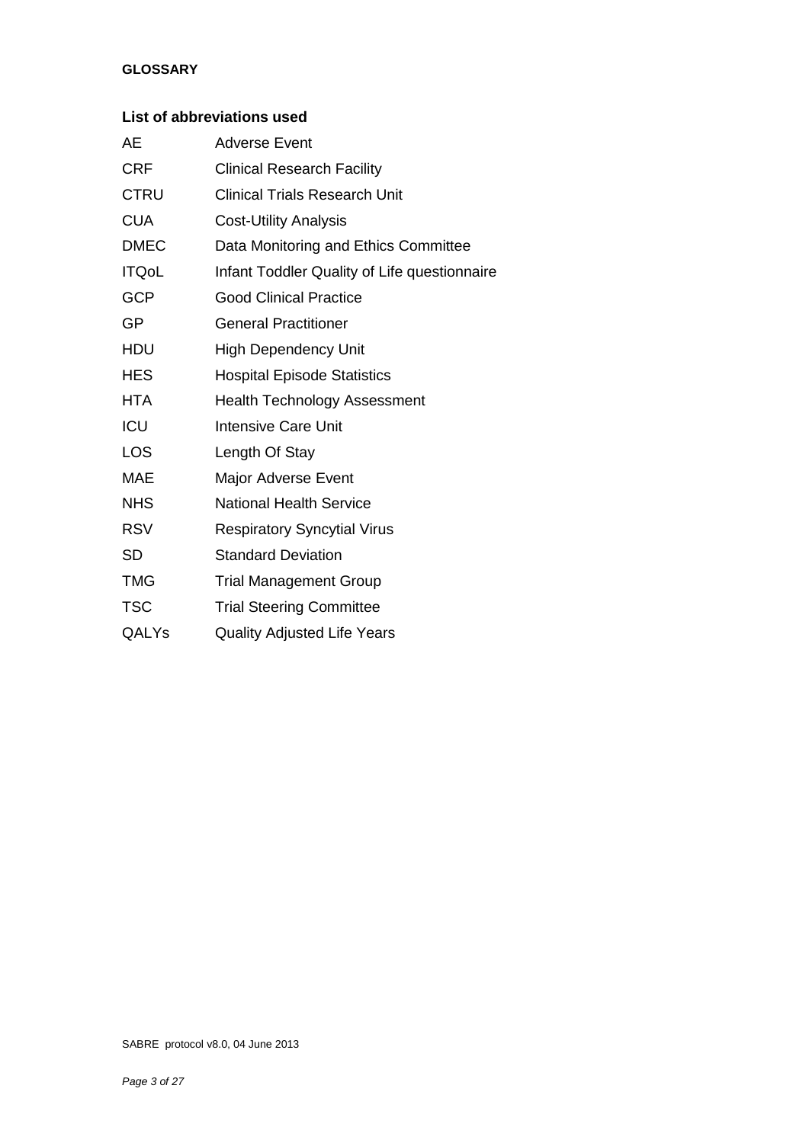#### **GLOSSARY**

### **List of abbreviations used**

| AE           | Adverse Event                                |
|--------------|----------------------------------------------|
| <b>CRF</b>   | <b>Clinical Research Facility</b>            |
| <b>CTRU</b>  | <b>Clinical Trials Research Unit</b>         |
| <b>CUA</b>   | <b>Cost-Utility Analysis</b>                 |
| <b>DMEC</b>  | Data Monitoring and Ethics Committee         |
| <b>ITQoL</b> | Infant Toddler Quality of Life questionnaire |
| <b>GCP</b>   | <b>Good Clinical Practice</b>                |
| GP           | <b>General Practitioner</b>                  |
| <b>HDU</b>   | <b>High Dependency Unit</b>                  |
| <b>HES</b>   | <b>Hospital Episode Statistics</b>           |
| <b>HTA</b>   | <b>Health Technology Assessment</b>          |
| ICU          | <b>Intensive Care Unit</b>                   |
| <b>LOS</b>   | Length Of Stay                               |
| MAE          | <b>Major Adverse Event</b>                   |
| <b>NHS</b>   | <b>National Health Service</b>               |
| <b>RSV</b>   | <b>Respiratory Syncytial Virus</b>           |
| <b>SD</b>    | <b>Standard Deviation</b>                    |
| <b>TMG</b>   | <b>Trial Management Group</b>                |
| <b>TSC</b>   | <b>Trial Steering Committee</b>              |
| QALYs        | <b>Quality Adjusted Life Years</b>           |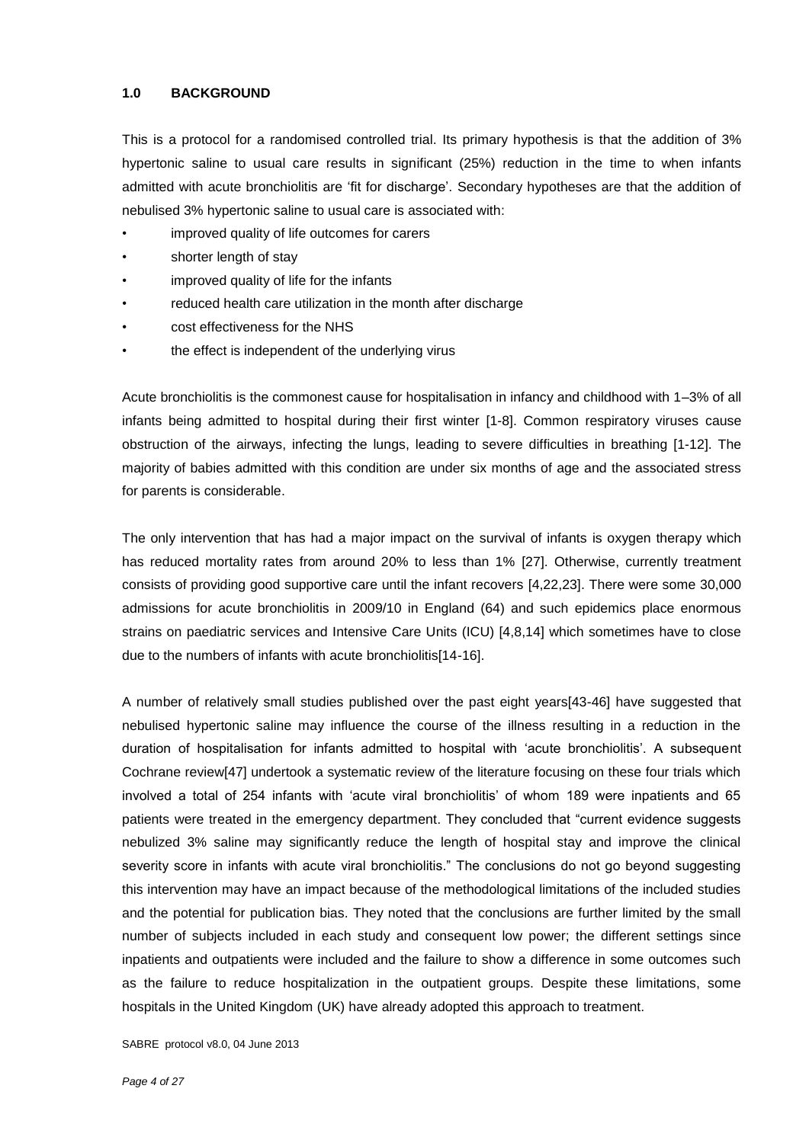#### **1.0 BACKGROUND**

This is a protocol for a randomised controlled trial. Its primary hypothesis is that the addition of 3% hypertonic saline to usual care results in significant (25%) reduction in the time to when infants admitted with acute bronchiolitis are 'fit for discharge'. Secondary hypotheses are that the addition of nebulised 3% hypertonic saline to usual care is associated with:

- improved quality of life outcomes for carers
- shorter length of stay
- improved quality of life for the infants
- reduced health care utilization in the month after discharge
- cost effectiveness for the NHS
- the effect is independent of the underlying virus

Acute bronchiolitis is the commonest cause for hospitalisation in infancy and childhood with 1–3% of all infants being admitted to hospital during their first winter [1-8]. Common respiratory viruses cause obstruction of the airways, infecting the lungs, leading to severe difficulties in breathing [1-12]. The majority of babies admitted with this condition are under six months of age and the associated stress for parents is considerable.

The only intervention that has had a major impact on the survival of infants is oxygen therapy which has reduced mortality rates from around 20% to less than 1% [27]. Otherwise, currently treatment consists of providing good supportive care until the infant recovers [4,22,23]. There were some 30,000 admissions for acute bronchiolitis in 2009/10 in England (64) and such epidemics place enormous strains on paediatric services and Intensive Care Units (ICU) [4,8,14] which sometimes have to close due to the numbers of infants with acute bronchiolitis[14-16].

A number of relatively small studies published over the past eight years[43-46] have suggested that nebulised hypertonic saline may influence the course of the illness resulting in a reduction in the duration of hospitalisation for infants admitted to hospital with 'acute bronchiolitis'. A subsequent Cochrane review[47] undertook a systematic review of the literature focusing on these four trials which involved a total of 254 infants with 'acute viral bronchiolitis' of whom 189 were inpatients and 65 patients were treated in the emergency department. They concluded that "current evidence suggests nebulized 3% saline may significantly reduce the length of hospital stay and improve the clinical severity score in infants with acute viral bronchiolitis." The conclusions do not go beyond suggesting this intervention may have an impact because of the methodological limitations of the included studies and the potential for publication bias. They noted that the conclusions are further limited by the small number of subjects included in each study and consequent low power; the different settings since inpatients and outpatients were included and the failure to show a difference in some outcomes such as the failure to reduce hospitalization in the outpatient groups. Despite these limitations, some hospitals in the United Kingdom (UK) have already adopted this approach to treatment.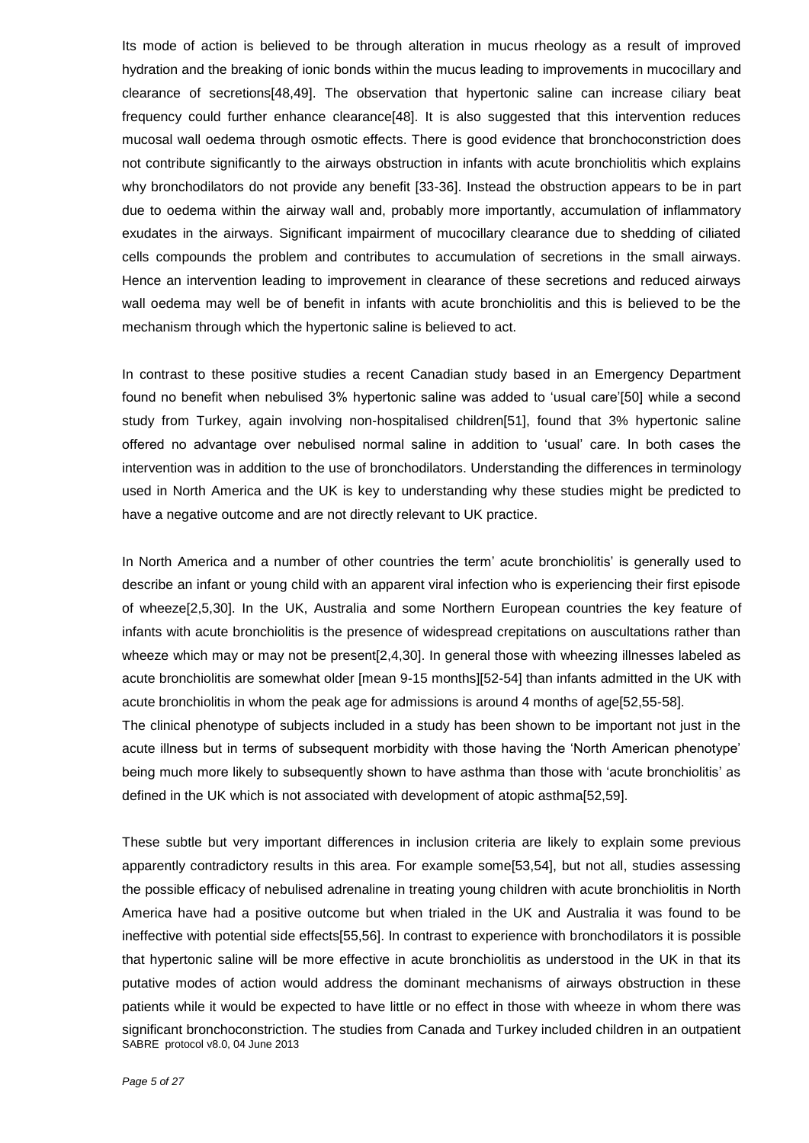Its mode of action is believed to be through alteration in mucus rheology as a result of improved hydration and the breaking of ionic bonds within the mucus leading to improvements in mucocillary and clearance of secretions[48,49]. The observation that hypertonic saline can increase ciliary beat frequency could further enhance clearance[48]. It is also suggested that this intervention reduces mucosal wall oedema through osmotic effects. There is good evidence that bronchoconstriction does not contribute significantly to the airways obstruction in infants with acute bronchiolitis which explains why bronchodilators do not provide any benefit [33-36]. Instead the obstruction appears to be in part due to oedema within the airway wall and, probably more importantly, accumulation of inflammatory exudates in the airways. Significant impairment of mucocillary clearance due to shedding of ciliated cells compounds the problem and contributes to accumulation of secretions in the small airways. Hence an intervention leading to improvement in clearance of these secretions and reduced airways wall oedema may well be of benefit in infants with acute bronchiolitis and this is believed to be the mechanism through which the hypertonic saline is believed to act.

In contrast to these positive studies a recent Canadian study based in an Emergency Department found no benefit when nebulised 3% hypertonic saline was added to 'usual care'[50] while a second study from Turkey, again involving non-hospitalised children[51], found that 3% hypertonic saline offered no advantage over nebulised normal saline in addition to 'usual' care. In both cases the intervention was in addition to the use of bronchodilators. Understanding the differences in terminology used in North America and the UK is key to understanding why these studies might be predicted to have a negative outcome and are not directly relevant to UK practice.

In North America and a number of other countries the term' acute bronchiolitis' is generally used to describe an infant or young child with an apparent viral infection who is experiencing their first episode of wheeze[2,5,30]. In the UK, Australia and some Northern European countries the key feature of infants with acute bronchiolitis is the presence of widespread crepitations on auscultations rather than wheeze which may or may not be present [2,4,30]. In general those with wheezing illnesses labeled as acute bronchiolitis are somewhat older [mean 9-15 months][52-54] than infants admitted in the UK with acute bronchiolitis in whom the peak age for admissions is around 4 months of age[52,55-58].

The clinical phenotype of subjects included in a study has been shown to be important not just in the acute illness but in terms of subsequent morbidity with those having the 'North American phenotype' being much more likely to subsequently shown to have asthma than those with 'acute bronchiolitis' as defined in the UK which is not associated with development of atopic asthma[52,59].

SABRE protocol v8.0, 04 June 2013 These subtle but very important differences in inclusion criteria are likely to explain some previous apparently contradictory results in this area. For example some[53,54], but not all, studies assessing the possible efficacy of nebulised adrenaline in treating young children with acute bronchiolitis in North America have had a positive outcome but when trialed in the UK and Australia it was found to be ineffective with potential side effects[55,56]. In contrast to experience with bronchodilators it is possible that hypertonic saline will be more effective in acute bronchiolitis as understood in the UK in that its putative modes of action would address the dominant mechanisms of airways obstruction in these patients while it would be expected to have little or no effect in those with wheeze in whom there was significant bronchoconstriction. The studies from Canada and Turkey included children in an outpatient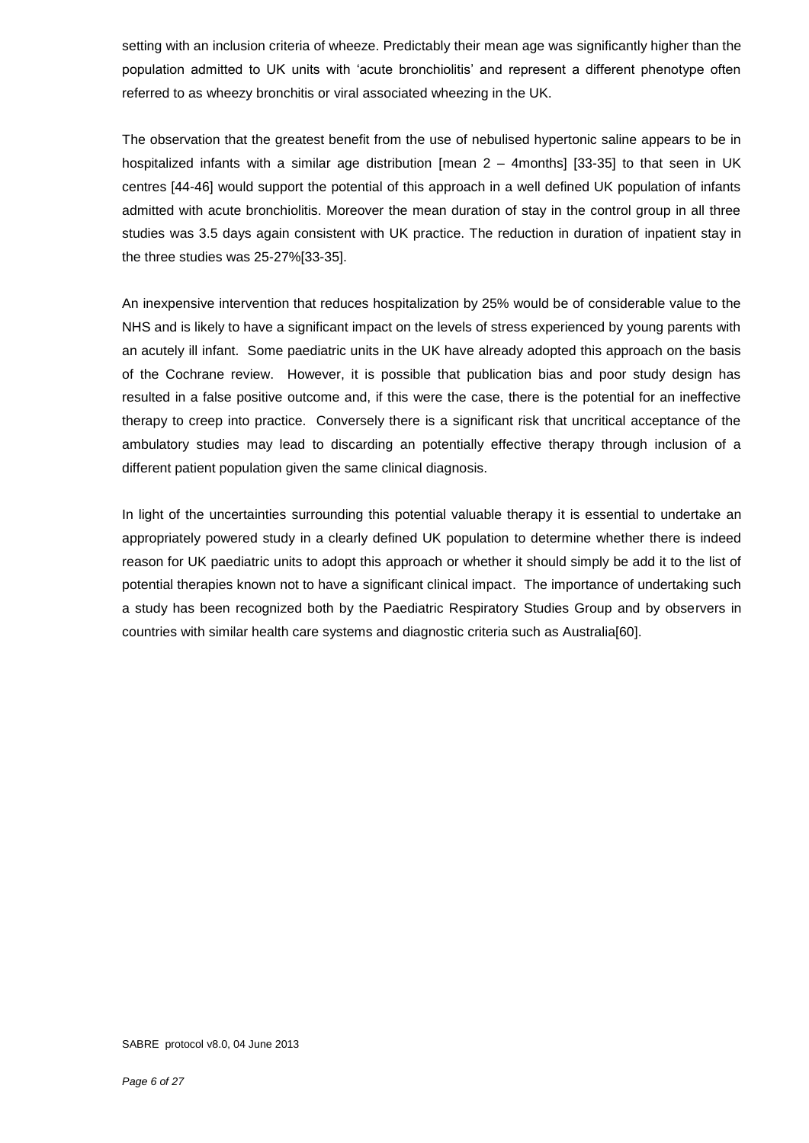setting with an inclusion criteria of wheeze. Predictably their mean age was significantly higher than the population admitted to UK units with 'acute bronchiolitis' and represent a different phenotype often referred to as wheezy bronchitis or viral associated wheezing in the UK.

The observation that the greatest benefit from the use of nebulised hypertonic saline appears to be in hospitalized infants with a similar age distribution [mean 2 – 4months] [33-35] to that seen in UK centres [44-46] would support the potential of this approach in a well defined UK population of infants admitted with acute bronchiolitis. Moreover the mean duration of stay in the control group in all three studies was 3.5 days again consistent with UK practice. The reduction in duration of inpatient stay in the three studies was 25-27%[33-35].

An inexpensive intervention that reduces hospitalization by 25% would be of considerable value to the NHS and is likely to have a significant impact on the levels of stress experienced by young parents with an acutely ill infant. Some paediatric units in the UK have already adopted this approach on the basis of the Cochrane review. However, it is possible that publication bias and poor study design has resulted in a false positive outcome and, if this were the case, there is the potential for an ineffective therapy to creep into practice. Conversely there is a significant risk that uncritical acceptance of the ambulatory studies may lead to discarding an potentially effective therapy through inclusion of a different patient population given the same clinical diagnosis.

In light of the uncertainties surrounding this potential valuable therapy it is essential to undertake an appropriately powered study in a clearly defined UK population to determine whether there is indeed reason for UK paediatric units to adopt this approach or whether it should simply be add it to the list of potential therapies known not to have a significant clinical impact. The importance of undertaking such a study has been recognized both by the Paediatric Respiratory Studies Group and by observers in countries with similar health care systems and diagnostic criteria such as Australia[60].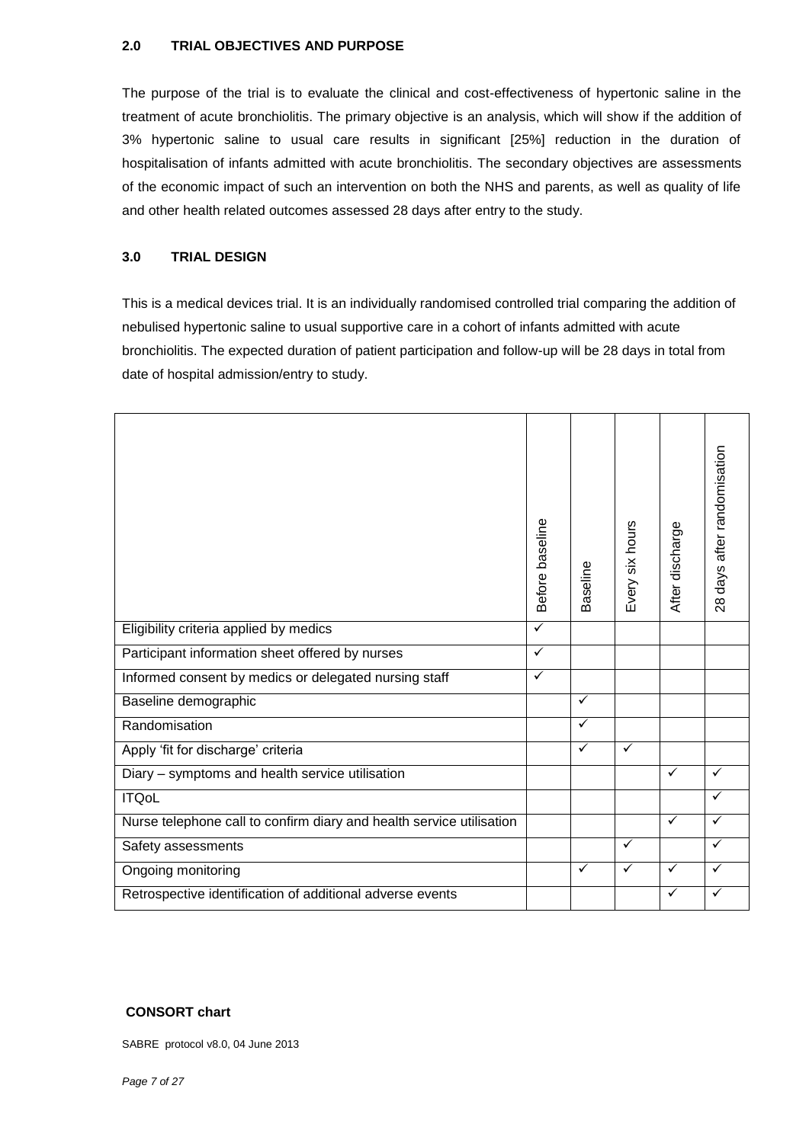#### **2.0 TRIAL OBJECTIVES AND PURPOSE**

The purpose of the trial is to evaluate the clinical and cost-effectiveness of hypertonic saline in the treatment of acute bronchiolitis. The primary objective is an analysis, which will show if the addition of 3% hypertonic saline to usual care results in significant [25%] reduction in the duration of hospitalisation of infants admitted with acute bronchiolitis. The secondary objectives are assessments of the economic impact of such an intervention on both the NHS and parents, as well as quality of life and other health related outcomes assessed 28 days after entry to the study.

#### **3.0 TRIAL DESIGN**

This is a medical devices trial. It is an individually randomised controlled trial comparing the addition of nebulised hypertonic saline to usual supportive care in a cohort of infants admitted with acute bronchiolitis. The expected duration of patient participation and follow-up will be 28 days in total from date of hospital admission/entry to study.

|                                                                      | Before baseline | Baseline     | Every six hours | After discharge | 28 days after randomisation |
|----------------------------------------------------------------------|-----------------|--------------|-----------------|-----------------|-----------------------------|
| Eligibility criteria applied by medics                               | $\checkmark$    |              |                 |                 |                             |
| Participant information sheet offered by nurses                      | ✓               |              |                 |                 |                             |
| Informed consent by medics or delegated nursing staff                | $\checkmark$    |              |                 |                 |                             |
| Baseline demographic                                                 |                 | ✓            |                 |                 |                             |
| Randomisation                                                        |                 | $\checkmark$ |                 |                 |                             |
| Apply 'fit for discharge' criteria                                   |                 | $\checkmark$ | $\checkmark$    |                 |                             |
| Diary - symptoms and health service utilisation                      |                 |              |                 | $\checkmark$    | ✓                           |
| <b>ITQoL</b>                                                         |                 |              |                 |                 | ✓                           |
| Nurse telephone call to confirm diary and health service utilisation |                 |              |                 | $\checkmark$    | ✓                           |
| Safety assessments                                                   |                 |              | $\checkmark$    |                 | ✓                           |
| Ongoing monitoring                                                   |                 | $\checkmark$ | ✓               | $\checkmark$    | ✓                           |
| Retrospective identification of additional adverse events            |                 |              |                 | ✓               |                             |

#### **CONSORT chart**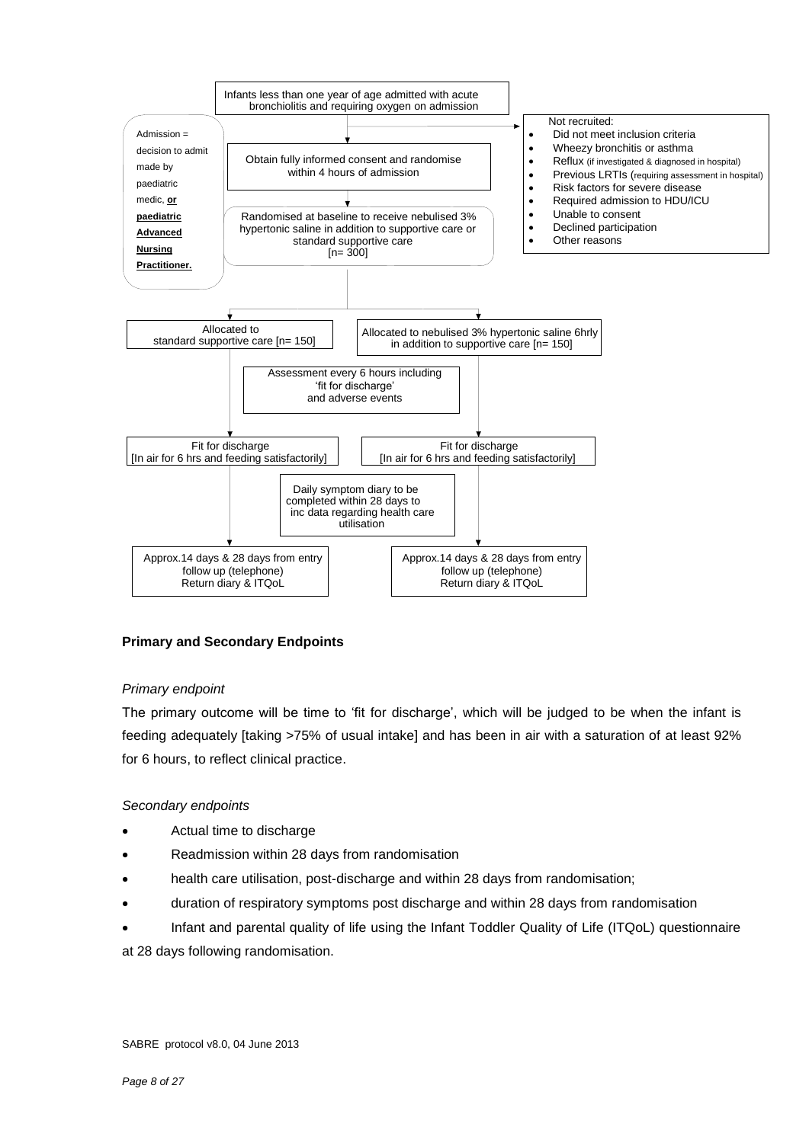

#### **Primary and Secondary Endpoints**

#### *Primary endpoint*

The primary outcome will be time to 'fit for discharge', which will be judged to be when the infant is feeding adequately [taking >75% of usual intake] and has been in air with a saturation of at least 92% for 6 hours, to reflect clinical practice.

#### *Secondary endpoints*

- Actual time to discharge
- Readmission within 28 days from randomisation
- health care utilisation, post-discharge and within 28 days from randomisation;
- duration of respiratory symptoms post discharge and within 28 days from randomisation
- Infant and parental quality of life using the Infant Toddler Quality of Life (ITQoL) questionnaire at 28 days following randomisation.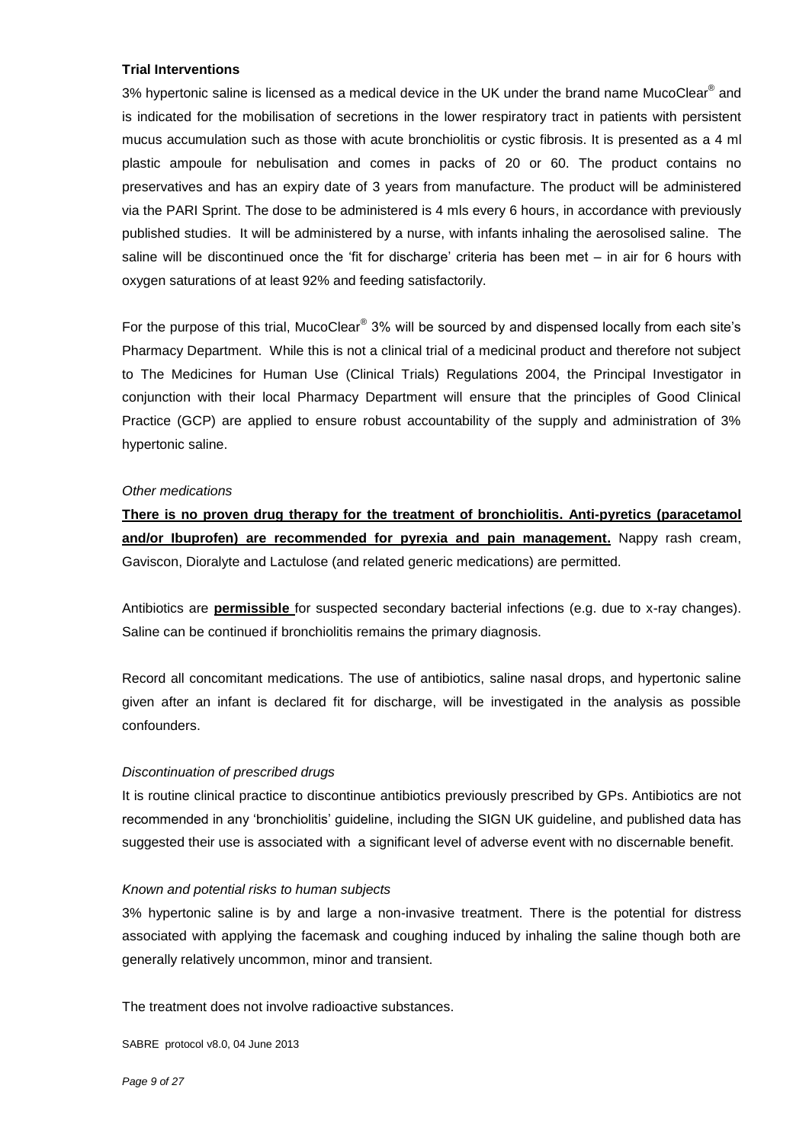#### **Trial Interventions**

3% hypertonic saline is licensed as a medical device in the UK under the brand name [MucoClear](http://www.pari.de/fileadmin/user_upload/instruction_for_use/MucoClear-3-077D0023.pdf)® and is indicated for the mobilisation of secretions in the lower respiratory tract in patients with persistent mucus accumulation such as those with acute bronchiolitis or cystic fibrosis. It is presented as a 4 ml plastic ampoule for nebulisation and comes in packs of 20 or 60. The product contains no preservatives and has an expiry date of 3 years from manufacture. The product will be administered via the PARI Sprint. The dose to be administered is 4 mls every 6 hours, in accordance with previously published studies. It will be administered by a nurse, with infants inhaling the aerosolised saline. The saline will be discontinued once the 'fit for discharge' criteria has been met – in air for 6 hours with oxygen saturations of at least 92% and feeding satisfactorily.

For the purpose of this trial, MucoClear<sup>®</sup> 3% will be sourced by and dispensed locally from each site's Pharmacy Department. While this is not a clinical trial of a medicinal product and therefore not subject to The Medicines for Human Use (Clinical Trials) Regulations 2004, the Principal Investigator in conjunction with their local Pharmacy Department will ensure that the principles of Good Clinical Practice (GCP) are applied to ensure robust accountability of the supply and administration of 3% hypertonic saline.

#### *Other medications*

**There is no proven drug therapy for the treatment of bronchiolitis. Anti-pyretics (paracetamol and/or Ibuprofen) are recommended for pyrexia and pain management.** Nappy rash cream, Gaviscon, Dioralyte and Lactulose (and related generic medications) are permitted.

Antibiotics are **permissible** for suspected secondary bacterial infections (e.g. due to x-ray changes). Saline can be continued if bronchiolitis remains the primary diagnosis.

Record all concomitant medications. The use of antibiotics, saline nasal drops, and hypertonic saline given after an infant is declared fit for discharge, will be investigated in the analysis as possible confounders.

#### *Discontinuation of prescribed drugs*

It is routine clinical practice to discontinue antibiotics previously prescribed by GPs. Antibiotics are not recommended in any 'bronchiolitis' guideline, including the SIGN UK guideline, and published data has suggested their use is associated with a significant level of adverse event with no discernable benefit.

#### *Known and potential risks to human subjects*

3% hypertonic saline is by and large a non-invasive treatment. There is the potential for distress associated with applying the facemask and coughing induced by inhaling the saline though both are generally relatively uncommon, minor and transient.

The treatment does not involve radioactive substances.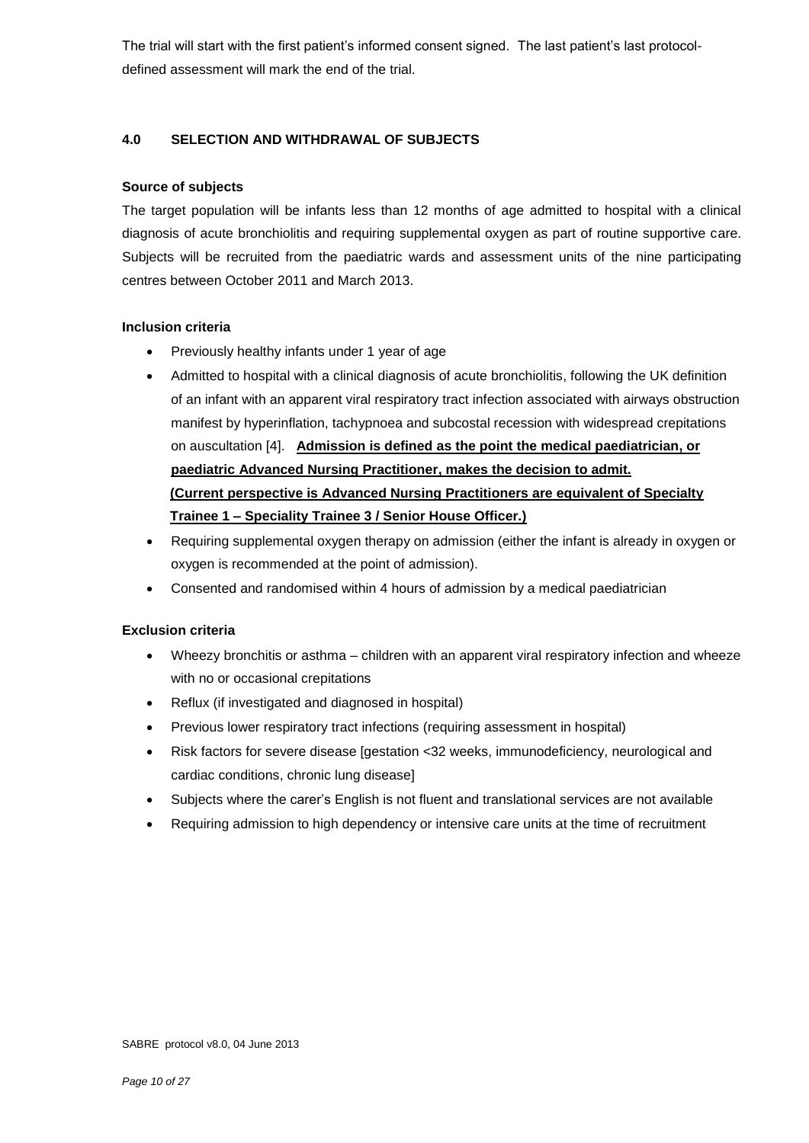The trial will start with the first patient's informed consent signed. The last patient's last protocoldefined assessment will mark the end of the trial.

#### **4.0 SELECTION AND WITHDRAWAL OF SUBJECTS**

#### **Source of subjects**

The target population will be infants less than 12 months of age admitted to hospital with a clinical diagnosis of acute bronchiolitis and requiring supplemental oxygen as part of routine supportive care. Subjects will be recruited from the paediatric wards and assessment units of the nine participating centres between October 2011 and March 2013.

#### **Inclusion criteria**

- Previously healthy infants under 1 year of age
- Admitted to hospital with a clinical diagnosis of acute bronchiolitis, following the UK definition of an infant with an apparent viral respiratory tract infection associated with airways obstruction manifest by hyperinflation, tachypnoea and subcostal recession with widespread crepitations on auscultation [4]. **Admission is defined as the point the medical paediatrician, or paediatric Advanced Nursing Practitioner, makes the decision to admit. (Current perspective is Advanced Nursing Practitioners are equivalent of Specialty Trainee 1 – Speciality Trainee 3 / Senior House Officer.)**
- Requiring supplemental oxygen therapy on admission (either the infant is already in oxygen or oxygen is recommended at the point of admission).
- Consented and randomised within 4 hours of admission by a medical paediatrician

#### **Exclusion criteria**

- Wheezy bronchitis or asthma children with an apparent viral respiratory infection and wheeze with no or occasional crepitations
- Reflux (if investigated and diagnosed in hospital)
- Previous lower respiratory tract infections (requiring assessment in hospital)
- Risk factors for severe disease [gestation <32 weeks, immunodeficiency, neurological and cardiac conditions, chronic lung disease]
- Subjects where the carer's English is not fluent and translational services are not available
- Requiring admission to high dependency or intensive care units at the time of recruitment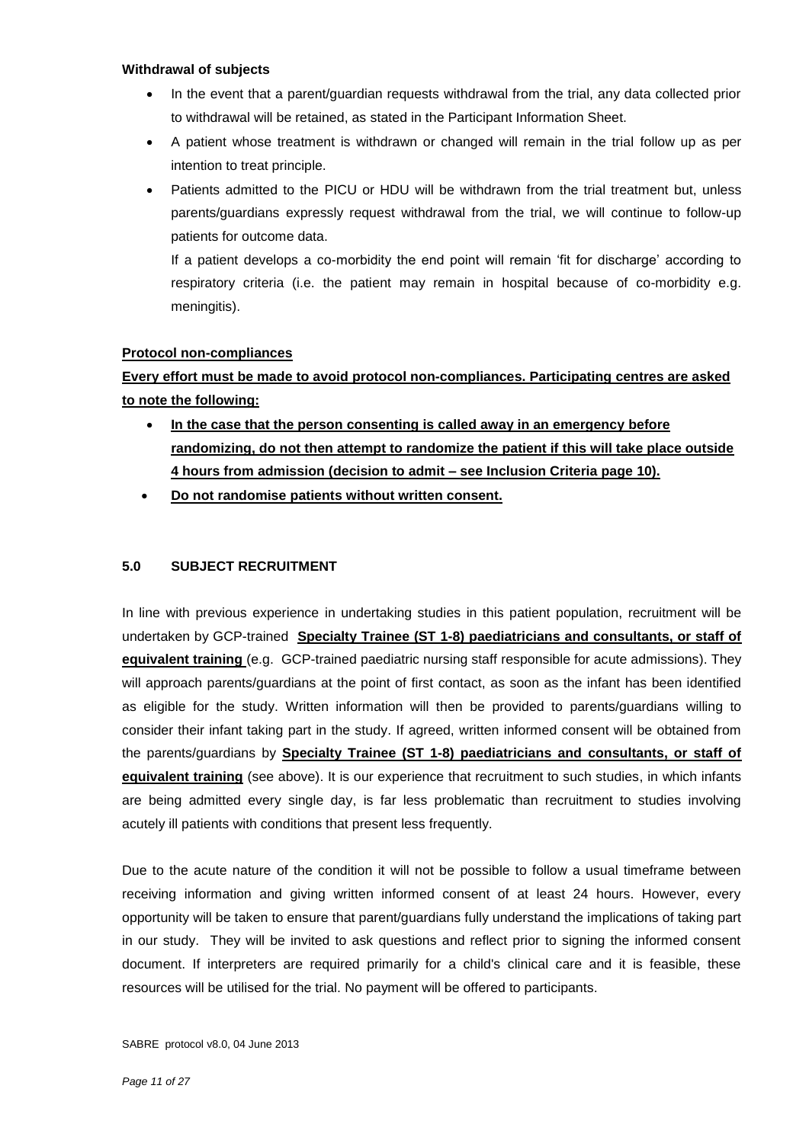#### **Withdrawal of subjects**

- In the event that a parent/guardian requests withdrawal from the trial, any data collected prior to withdrawal will be retained, as stated in the Participant Information Sheet.
- A patient whose treatment is withdrawn or changed will remain in the trial follow up as per intention to treat principle.
- Patients admitted to the PICU or HDU will be withdrawn from the trial treatment but, unless parents/guardians expressly request withdrawal from the trial, we will continue to follow-up patients for outcome data.

If a patient develops a co-morbidity the end point will remain 'fit for discharge' according to respiratory criteria (i.e. the patient may remain in hospital because of co-morbidity e.g. meningitis).

#### **Protocol non-compliances**

**Every effort must be made to avoid protocol non-compliances. Participating centres are asked to note the following:**

- **In the case that the person consenting is called away in an emergency before randomizing, do not then attempt to randomize the patient if this will take place outside 4 hours from admission (decision to admit – see Inclusion Criteria page 10).**
- **Do not randomise patients without written consent.**

#### **5.0 SUBJECT RECRUITMENT**

In line with previous experience in undertaking studies in this patient population, recruitment will be undertaken by GCP-trained **Specialty Trainee (ST 1-8) paediatricians and consultants, or staff of equivalent training** (e.g. GCP-trained paediatric nursing staff responsible for acute admissions). They will approach parents/guardians at the point of first contact, as soon as the infant has been identified as eligible for the study. Written information will then be provided to parents/guardians willing to consider their infant taking part in the study. If agreed, written informed consent will be obtained from the parents/guardians by **Specialty Trainee (ST 1-8) paediatricians and consultants, or staff of equivalent training** (see above). It is our experience that recruitment to such studies, in which infants are being admitted every single day, is far less problematic than recruitment to studies involving acutely ill patients with conditions that present less frequently.

Due to the acute nature of the condition it will not be possible to follow a usual timeframe between receiving information and giving written informed consent of at least 24 hours. However, every opportunity will be taken to ensure that parent/guardians fully understand the implications of taking part in our study. They will be invited to ask questions and reflect prior to signing the informed consent document. If interpreters are required primarily for a child's clinical care and it is feasible, these resources will be utilised for the trial. No payment will be offered to participants.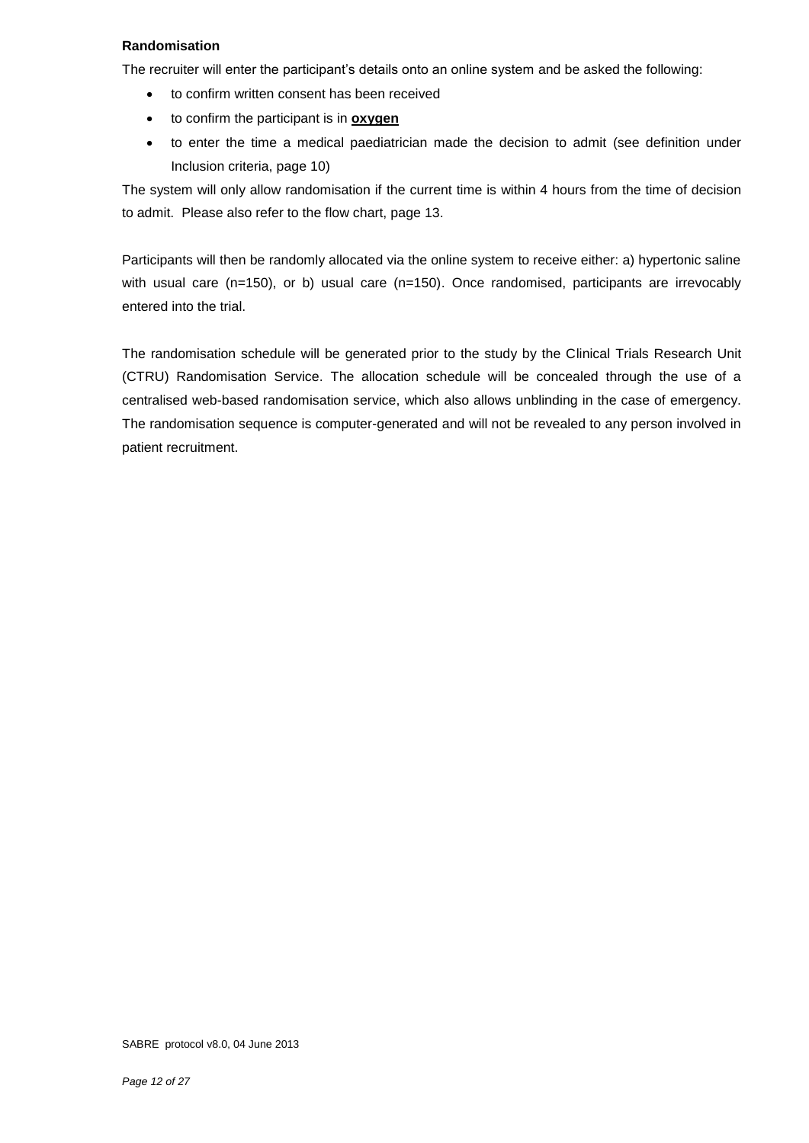#### **Randomisation**

The recruiter will enter the participant's details onto an online system and be asked the following:

- to confirm written consent has been received
- to confirm the participant is in **oxygen**
- to enter the time a medical paediatrician made the decision to admit (see definition under Inclusion criteria, page 10)

The system will only allow randomisation if the current time is within 4 hours from the time of decision to admit. Please also refer to the flow chart, page 13.

Participants will then be randomly allocated via the online system to receive either: a) hypertonic saline with usual care (n=150), or b) usual care (n=150). Once randomised, participants are irrevocably entered into the trial.

The randomisation schedule will be generated prior to the study by the Clinical Trials Research Unit (CTRU) Randomisation Service. The allocation schedule will be concealed through the use of a centralised web-based randomisation service, which also allows unblinding in the case of emergency. The randomisation sequence is computer-generated and will not be revealed to any person involved in patient recruitment.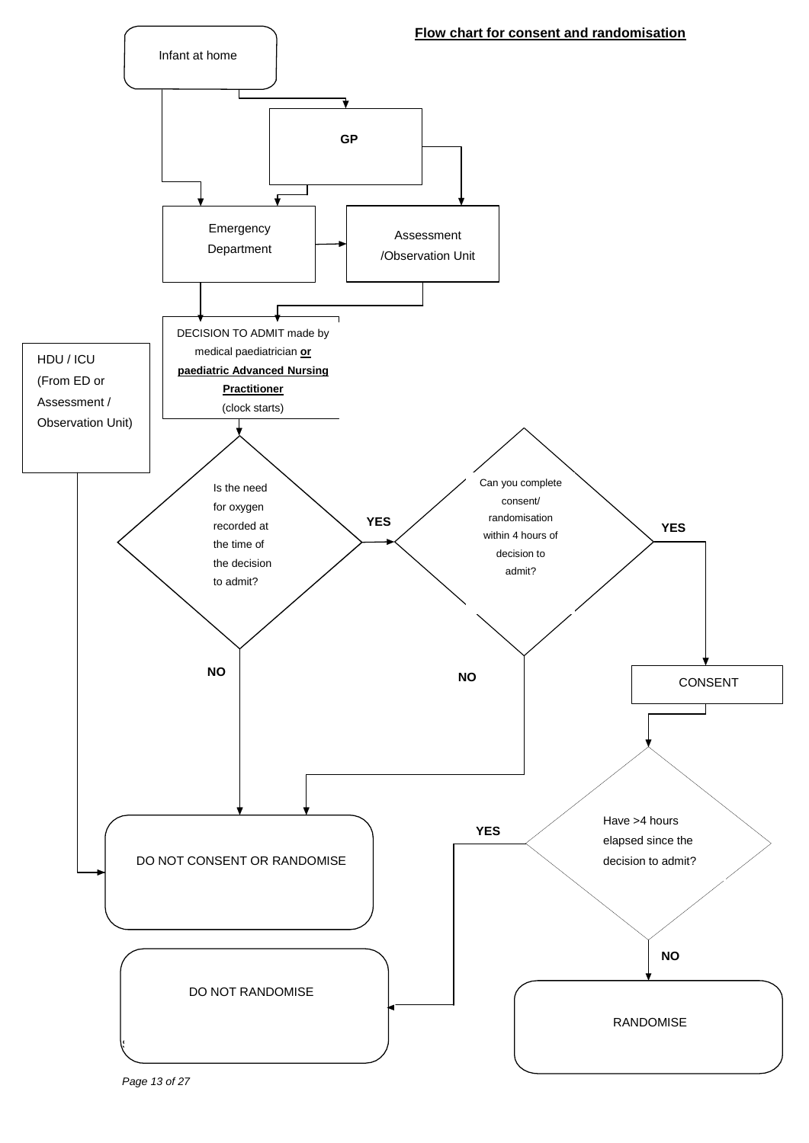

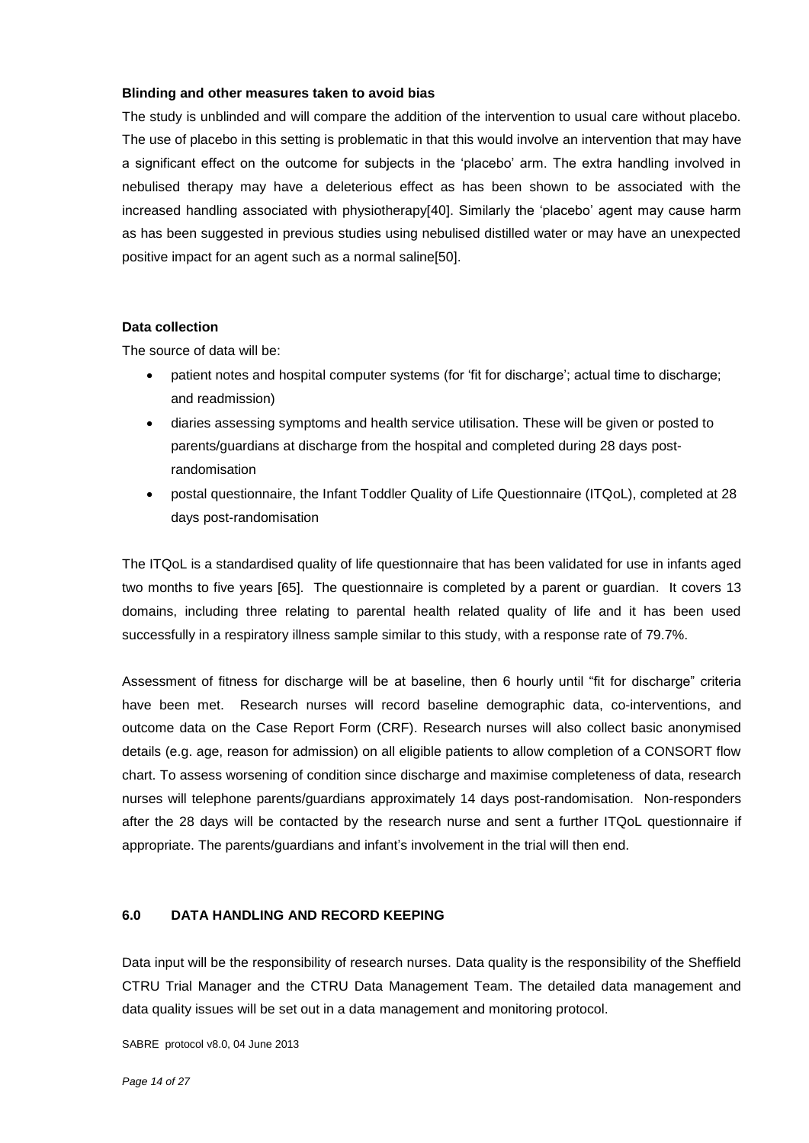#### **Blinding and other measures taken to avoid bias**

The study is unblinded and will compare the addition of the intervention to usual care without placebo. The use of placebo in this setting is problematic in that this would involve an intervention that may have a significant effect on the outcome for subjects in the 'placebo' arm. The extra handling involved in nebulised therapy may have a deleterious effect as has been shown to be associated with the increased handling associated with physiotherapy[40]. Similarly the 'placebo' agent may cause harm as has been suggested in previous studies using nebulised distilled water or may have an unexpected positive impact for an agent such as a normal saline[50].

#### **Data collection**

The source of data will be:

- patient notes and hospital computer systems (for 'fit for discharge'; actual time to discharge; and readmission)
- diaries assessing symptoms and health service utilisation. These will be given or posted to parents/guardians at discharge from the hospital and completed during 28 days postrandomisation
- postal questionnaire, the Infant Toddler Quality of Life Questionnaire (ITQoL), completed at 28 days post-randomisation

The ITQoL is a standardised quality of life questionnaire that has been validated for use in infants aged two months to five years [65]. The questionnaire is completed by a parent or guardian. It covers 13 domains, including three relating to parental health related quality of life and it has been used successfully in a respiratory illness sample similar to this study, with a response rate of 79.7%.

Assessment of fitness for discharge will be at baseline, then 6 hourly until "fit for discharge" criteria have been met. Research nurses will record baseline demographic data, co-interventions, and outcome data on the Case Report Form (CRF). Research nurses will also collect basic anonymised details (e.g. age, reason for admission) on all eligible patients to allow completion of a CONSORT flow chart. To assess worsening of condition since discharge and maximise completeness of data, research nurses will telephone parents/guardians approximately 14 days post-randomisation. Non-responders after the 28 days will be contacted by the research nurse and sent a further ITQoL questionnaire if appropriate. The parents/guardians and infant's involvement in the trial will then end.

#### **6.0 DATA HANDLING AND RECORD KEEPING**

Data input will be the responsibility of research nurses. Data quality is the responsibility of the Sheffield CTRU Trial Manager and the CTRU Data Management Team. The detailed data management and data quality issues will be set out in a data management and monitoring protocol.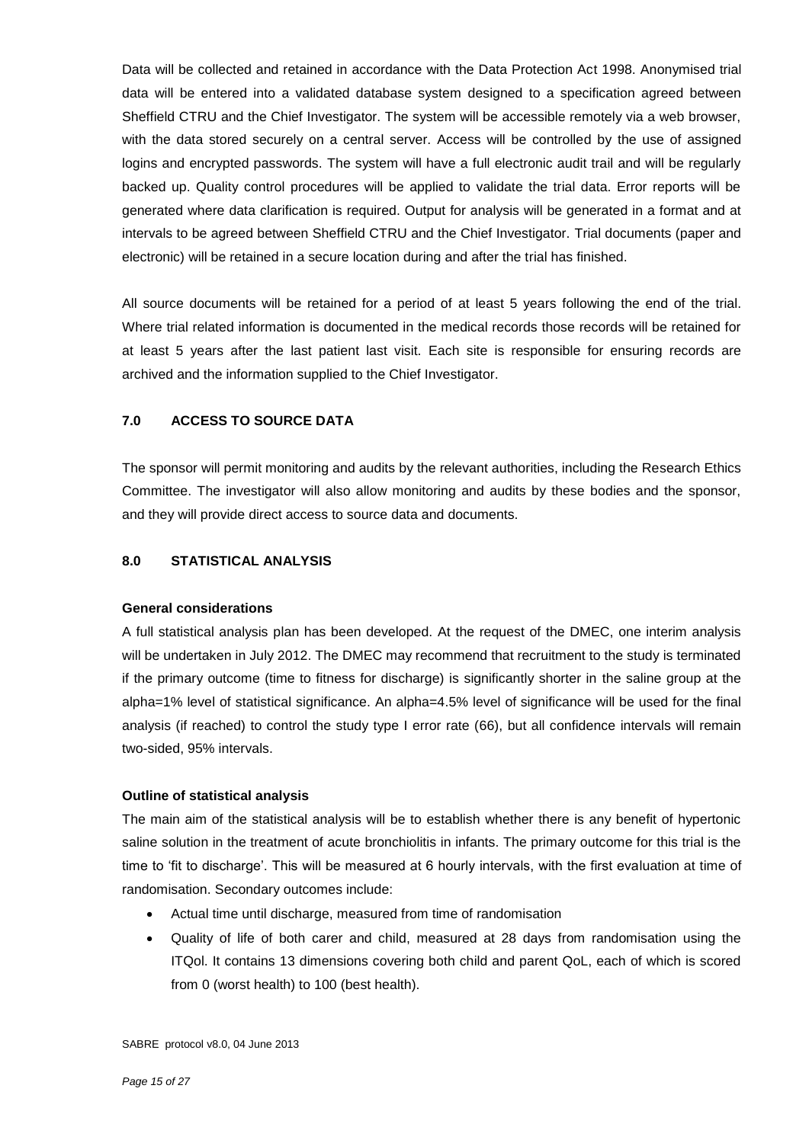Data will be collected and retained in accordance with the Data Protection Act 1998. Anonymised trial data will be entered into a validated database system designed to a specification agreed between Sheffield CTRU and the Chief Investigator. The system will be accessible remotely via a web browser, with the data stored securely on a central server. Access will be controlled by the use of assigned logins and encrypted passwords. The system will have a full electronic audit trail and will be regularly backed up. Quality control procedures will be applied to validate the trial data. Error reports will be generated where data clarification is required. Output for analysis will be generated in a format and at intervals to be agreed between Sheffield CTRU and the Chief Investigator. Trial documents (paper and electronic) will be retained in a secure location during and after the trial has finished.

All source documents will be retained for a period of at least 5 years following the end of the trial. Where trial related information is documented in the medical records those records will be retained for at least 5 years after the last patient last visit. Each site is responsible for ensuring records are archived and the information supplied to the Chief Investigator.

#### **7.0 ACCESS TO SOURCE DATA**

The sponsor will permit monitoring and audits by the relevant authorities, including the Research Ethics Committee. The investigator will also allow monitoring and audits by these bodies and the sponsor, and they will provide direct access to source data and documents.

#### **8.0 STATISTICAL ANALYSIS**

#### **General considerations**

A full statistical analysis plan has been developed. At the request of the DMEC, one interim analysis will be undertaken in July 2012. The DMEC may recommend that recruitment to the study is terminated if the primary outcome (time to fitness for discharge) is significantly shorter in the saline group at the alpha=1% level of statistical significance. An alpha=4.5% level of significance will be used for the final analysis (if reached) to control the study type I error rate (66), but all confidence intervals will remain two-sided, 95% intervals.

#### **Outline of statistical analysis**

The main aim of the statistical analysis will be to establish whether there is any benefit of hypertonic saline solution in the treatment of acute bronchiolitis in infants. The primary outcome for this trial is the time to 'fit to discharge'. This will be measured at 6 hourly intervals, with the first evaluation at time of randomisation. Secondary outcomes include:

- Actual time until discharge, measured from time of randomisation
- Quality of life of both carer and child, measured at 28 days from randomisation using the ITQol. It contains 13 dimensions covering both child and parent QoL, each of which is scored from 0 (worst health) to 100 (best health).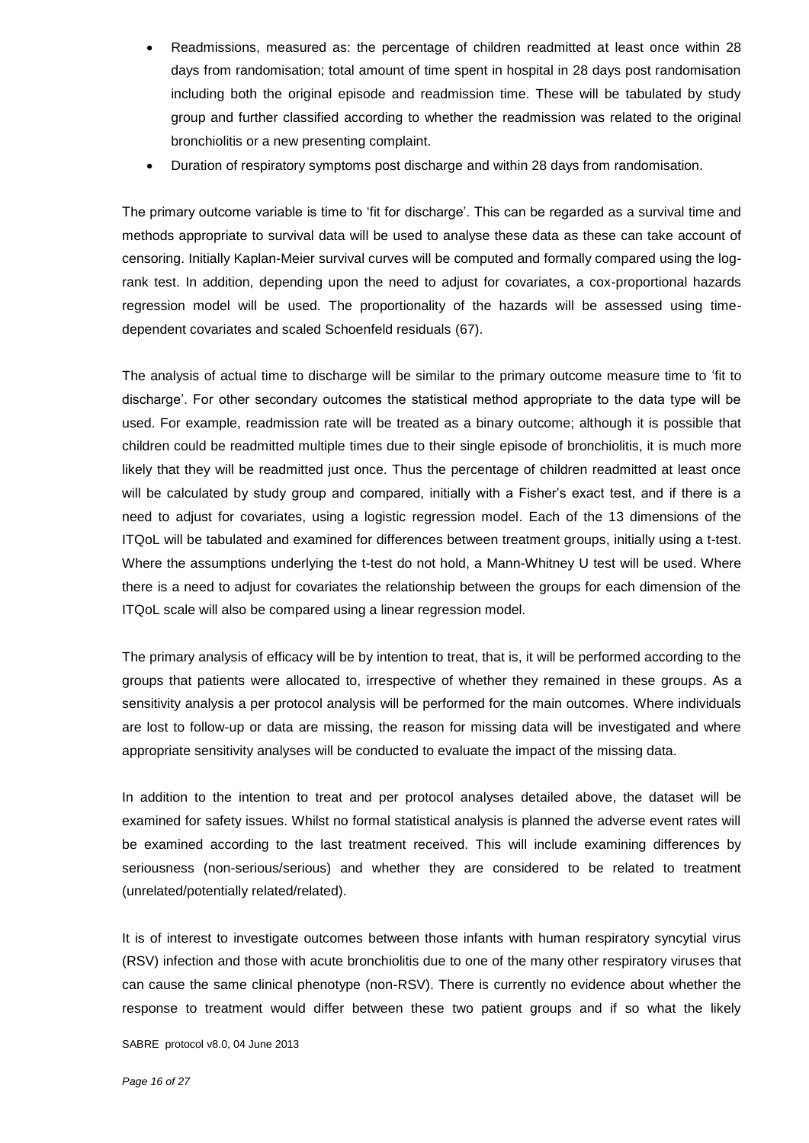- Readmissions, measured as: the percentage of children readmitted at least once within 28 days from randomisation; total amount of time spent in hospital in 28 days post randomisation including both the original episode and readmission time. These will be tabulated by study group and further classified according to whether the readmission was related to the original bronchiolitis or a new presenting complaint.
- Duration of respiratory symptoms post discharge and within 28 days from randomisation.

The primary outcome variable is time to 'fit for discharge'. This can be regarded as a survival time and methods appropriate to survival data will be used to analyse these data as these can take account of censoring. Initially Kaplan-Meier survival curves will be computed and formally compared using the logrank test. In addition, depending upon the need to adjust for covariates, a cox-proportional hazards regression model will be used. The proportionality of the hazards will be assessed using timedependent covariates and scaled Schoenfeld residuals (67).

The analysis of actual time to discharge will be similar to the primary outcome measure time to 'fit to discharge'. For other secondary outcomes the statistical method appropriate to the data type will be used. For example, readmission rate will be treated as a binary outcome; although it is possible that children could be readmitted multiple times due to their single episode of bronchiolitis, it is much more likely that they will be readmitted just once. Thus the percentage of children readmitted at least once will be calculated by study group and compared, initially with a Fisher's exact test, and if there is a need to adjust for covariates, using a logistic regression model. Each of the 13 dimensions of the ITQoL will be tabulated and examined for differences between treatment groups, initially using a t-test. Where the assumptions underlying the t-test do not hold, a Mann-Whitney U test will be used. Where there is a need to adjust for covariates the relationship between the groups for each dimension of the ITQoL scale will also be compared using a linear regression model.

The primary analysis of efficacy will be by intention to treat, that is, it will be performed according to the groups that patients were allocated to, irrespective of whether they remained in these groups. As a sensitivity analysis a per protocol analysis will be performed for the main outcomes. Where individuals are lost to follow-up or data are missing, the reason for missing data will be investigated and where appropriate sensitivity analyses will be conducted to evaluate the impact of the missing data.

In addition to the intention to treat and per protocol analyses detailed above, the dataset will be examined for safety issues. Whilst no formal statistical analysis is planned the adverse event rates will be examined according to the last treatment received. This will include examining differences by seriousness (non-serious/serious) and whether they are considered to be related to treatment (unrelated/potentially related/related).

It is of interest to investigate outcomes between those infants with human respiratory syncytial virus (RSV) infection and those with acute bronchiolitis due to one of the many other respiratory viruses that can cause the same clinical phenotype (non-RSV). There is currently no evidence about whether the response to treatment would differ between these two patient groups and if so what the likely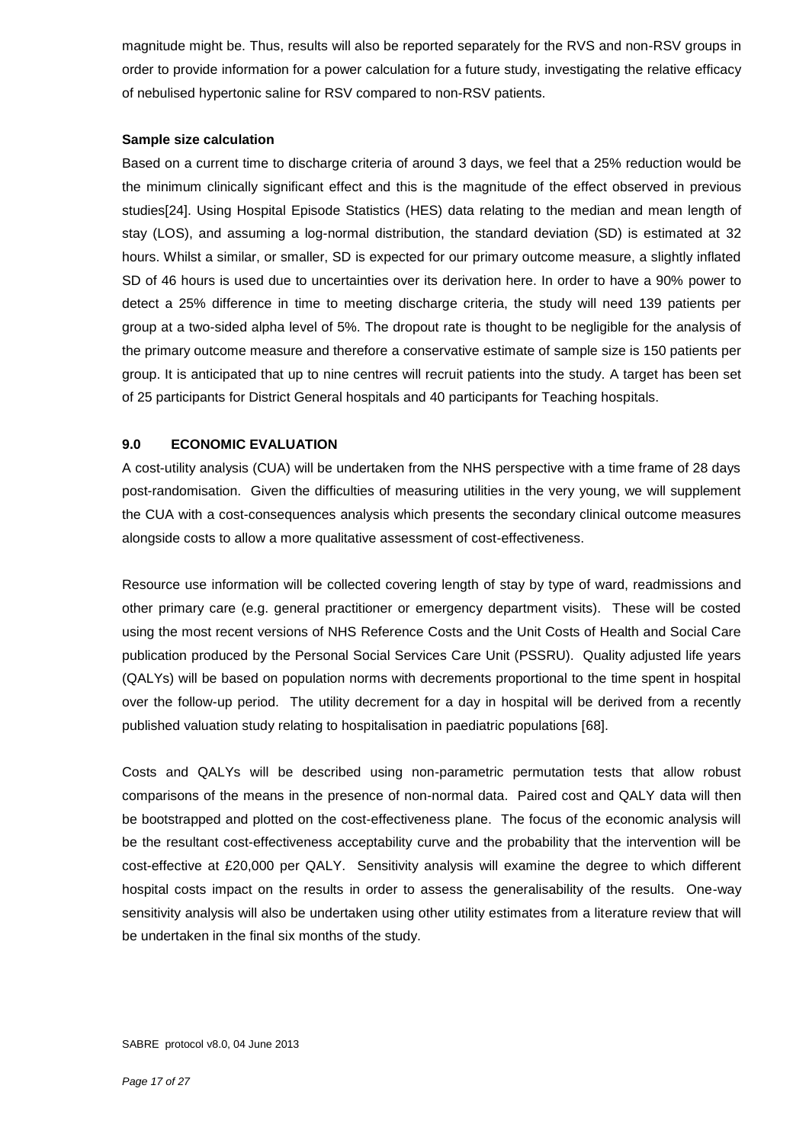magnitude might be. Thus, results will also be reported separately for the RVS and non-RSV groups in order to provide information for a power calculation for a future study, investigating the relative efficacy of nebulised hypertonic saline for RSV compared to non-RSV patients.

#### **Sample size calculation**

Based on a current time to discharge criteria of around 3 days, we feel that a 25% reduction would be the minimum clinically significant effect and this is the magnitude of the effect observed in previous studies[24]. Using Hospital Episode Statistics (HES) data relating to the median and mean length of stay (LOS), and assuming a log-normal distribution, the standard deviation (SD) is estimated at 32 hours. Whilst a similar, or smaller, SD is expected for our primary outcome measure, a slightly inflated SD of 46 hours is used due to uncertainties over its derivation here. In order to have a 90% power to detect a 25% difference in time to meeting discharge criteria, the study will need 139 patients per group at a two-sided alpha level of 5%. The dropout rate is thought to be negligible for the analysis of the primary outcome measure and therefore a conservative estimate of sample size is 150 patients per group. It is anticipated that up to nine centres will recruit patients into the study. A target has been set of 25 participants for District General hospitals and 40 participants for Teaching hospitals.

#### **9.0 ECONOMIC EVALUATION**

A cost-utility analysis (CUA) will be undertaken from the NHS perspective with a time frame of 28 days post-randomisation. Given the difficulties of measuring utilities in the very young, we will supplement the CUA with a cost-consequences analysis which presents the secondary clinical outcome measures alongside costs to allow a more qualitative assessment of cost-effectiveness.

Resource use information will be collected covering length of stay by type of ward, readmissions and other primary care (e.g. general practitioner or emergency department visits). These will be costed using the most recent versions of NHS Reference Costs and the Unit Costs of Health and Social Care publication produced by the Personal Social Services Care Unit (PSSRU). Quality adjusted life years (QALYs) will be based on population norms with decrements proportional to the time spent in hospital over the follow-up period. The utility decrement for a day in hospital will be derived from a recently published valuation study relating to hospitalisation in paediatric populations [68].

Costs and QALYs will be described using non-parametric permutation tests that allow robust comparisons of the means in the presence of non-normal data. Paired cost and QALY data will then be bootstrapped and plotted on the cost-effectiveness plane. The focus of the economic analysis will be the resultant cost-effectiveness acceptability curve and the probability that the intervention will be cost-effective at £20,000 per QALY. Sensitivity analysis will examine the degree to which different hospital costs impact on the results in order to assess the generalisability of the results. One-way sensitivity analysis will also be undertaken using other utility estimates from a literature review that will be undertaken in the final six months of the study.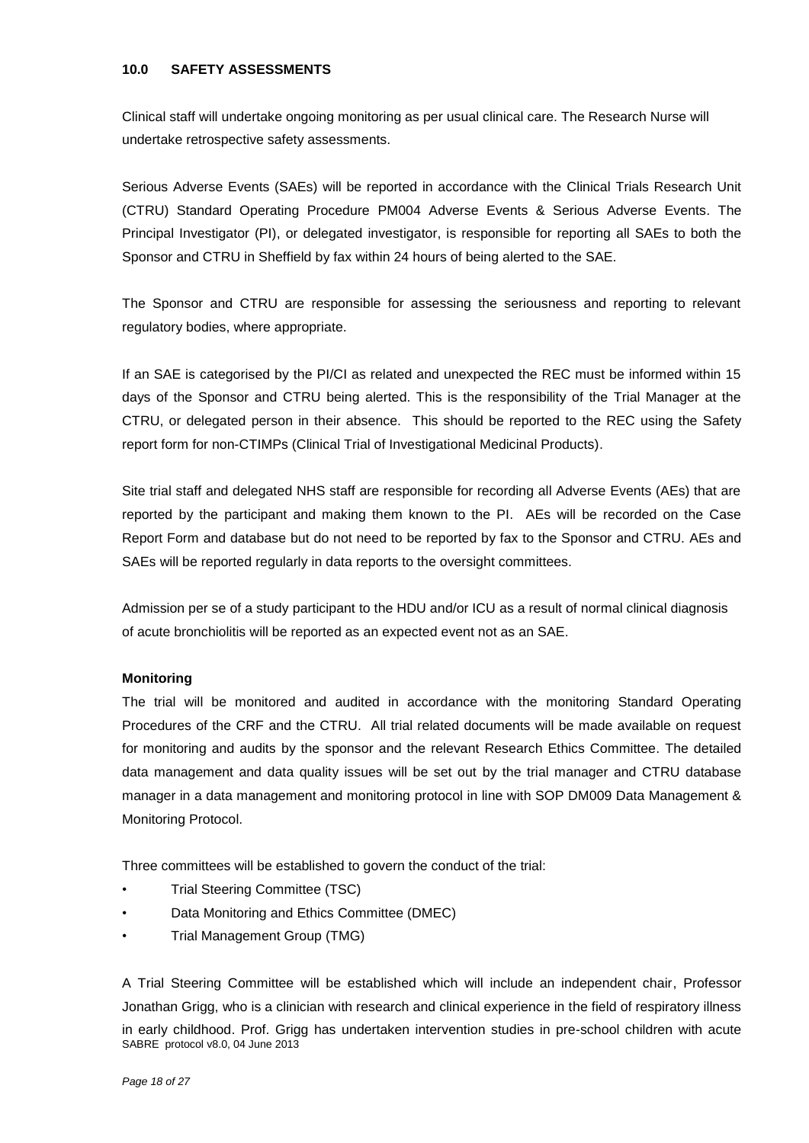#### **10.0 SAFETY ASSESSMENTS**

Clinical staff will undertake ongoing monitoring as per usual clinical care. The Research Nurse will undertake retrospective safety assessments.

Serious Adverse Events (SAEs) will be reported in accordance with the Clinical Trials Research Unit (CTRU) Standard Operating Procedure PM004 Adverse Events & Serious Adverse Events. The Principal Investigator (PI), or delegated investigator, is responsible for reporting all SAEs to both the Sponsor and CTRU in Sheffield by fax within 24 hours of being alerted to the SAE.

The Sponsor and CTRU are responsible for assessing the seriousness and reporting to relevant regulatory bodies, where appropriate.

If an SAE is categorised by the PI/CI as related and unexpected the REC must be informed within 15 days of the Sponsor and CTRU being alerted. This is the responsibility of the Trial Manager at the CTRU, or delegated person in their absence. This should be reported to the REC using the Safety report form for non-CTIMPs (Clinical Trial of Investigational Medicinal Products).

Site trial staff and delegated NHS staff are responsible for recording all Adverse Events (AEs) that are reported by the participant and making them known to the PI. AEs will be recorded on the Case Report Form and database but do not need to be reported by fax to the Sponsor and CTRU. AEs and SAEs will be reported regularly in data reports to the oversight committees.

Admission per se of a study participant to the HDU and/or ICU as a result of normal clinical diagnosis of acute bronchiolitis will be reported as an expected event not as an SAE.

#### **Monitoring**

The trial will be monitored and audited in accordance with the monitoring Standard Operating Procedures of the CRF and the CTRU. All trial related documents will be made available on request for monitoring and audits by the sponsor and the relevant Research Ethics Committee. The detailed data management and data quality issues will be set out by the trial manager and CTRU database manager in a data management and monitoring protocol in line with SOP DM009 Data Management & Monitoring Protocol.

Three committees will be established to govern the conduct of the trial:

- Trial Steering Committee (TSC)
- Data Monitoring and Ethics Committee (DMEC)
- Trial Management Group (TMG)

SABRE protocol v8.0, 04 June 2013 A Trial Steering Committee will be established which will include an independent chair, Professor Jonathan Grigg, who is a clinician with research and clinical experience in the field of respiratory illness in early childhood. Prof. Grigg has undertaken intervention studies in pre-school children with acute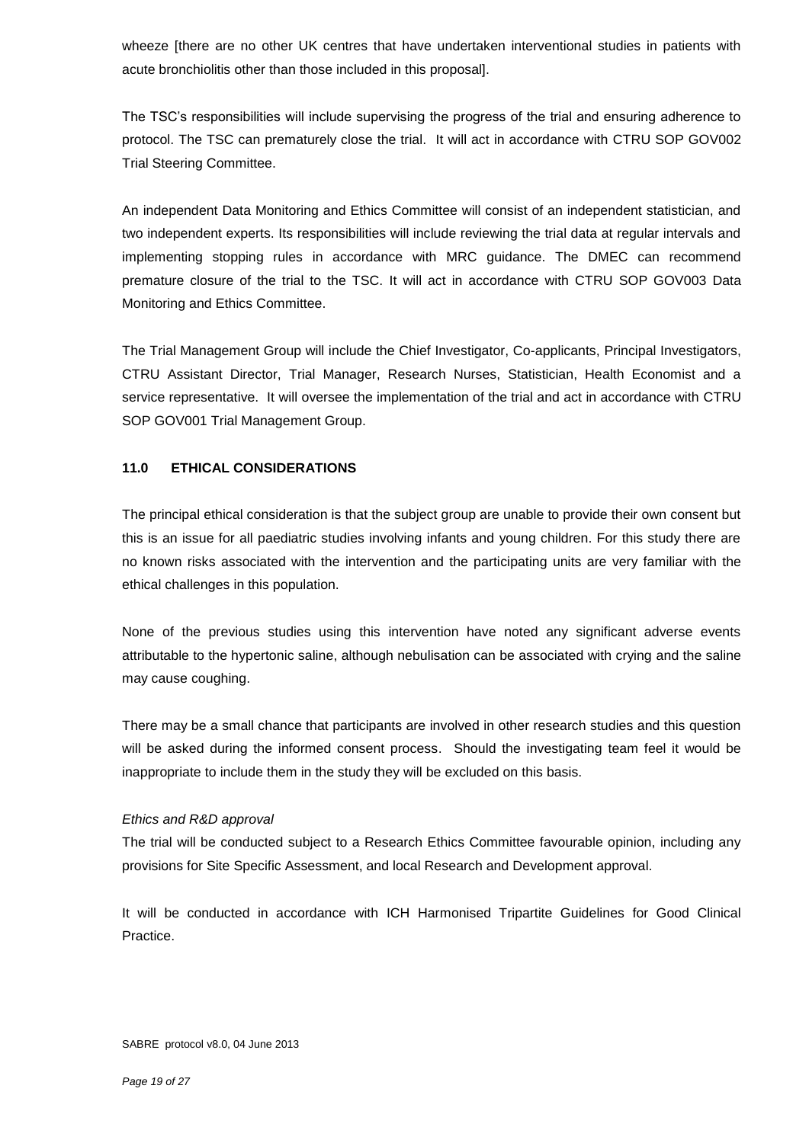wheeze [there are no other UK centres that have undertaken interventional studies in patients with acute bronchiolitis other than those included in this proposal].

The TSC's responsibilities will include supervising the progress of the trial and ensuring adherence to protocol. The TSC can prematurely close the trial. It will act in accordance with CTRU SOP GOV002 Trial Steering Committee.

An independent Data Monitoring and Ethics Committee will consist of an independent statistician, and two independent experts. Its responsibilities will include reviewing the trial data at regular intervals and implementing stopping rules in accordance with MRC guidance. The DMEC can recommend premature closure of the trial to the TSC. It will act in accordance with CTRU SOP GOV003 Data Monitoring and Ethics Committee.

The Trial Management Group will include the Chief Investigator, Co-applicants, Principal Investigators, CTRU Assistant Director, Trial Manager, Research Nurses, Statistician, Health Economist and a service representative. It will oversee the implementation of the trial and act in accordance with CTRU SOP GOV001 Trial Management Group.

#### **11.0 ETHICAL CONSIDERATIONS**

The principal ethical consideration is that the subject group are unable to provide their own consent but this is an issue for all paediatric studies involving infants and young children. For this study there are no known risks associated with the intervention and the participating units are very familiar with the ethical challenges in this population.

None of the previous studies using this intervention have noted any significant adverse events attributable to the hypertonic saline, although nebulisation can be associated with crying and the saline may cause coughing.

There may be a small chance that participants are involved in other research studies and this question will be asked during the informed consent process. Should the investigating team feel it would be inappropriate to include them in the study they will be excluded on this basis.

#### *Ethics and R&D approval*

The trial will be conducted subject to a Research Ethics Committee favourable opinion, including any provisions for Site Specific Assessment, and local Research and Development approval.

It will be conducted in accordance with ICH Harmonised Tripartite Guidelines for Good Clinical Practice.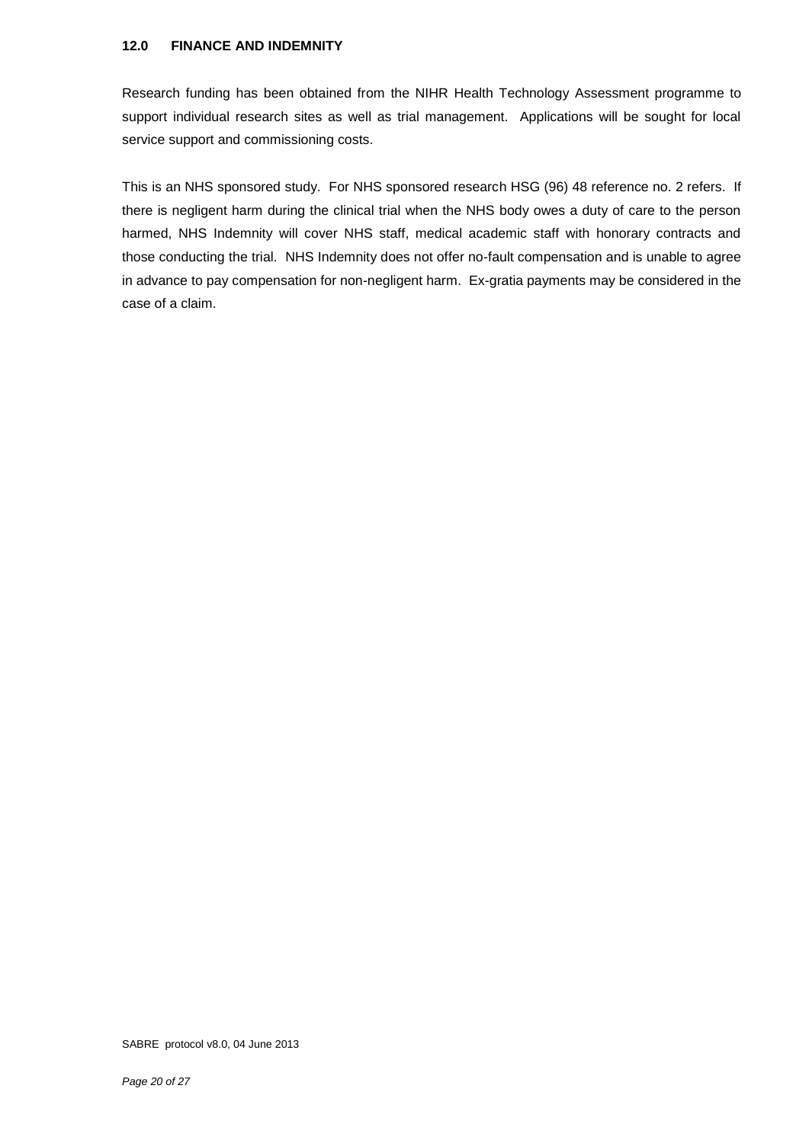#### **12.0 FINANCE AND INDEMNITY**

Research funding has been obtained from the NIHR Health Technology Assessment programme to support individual research sites as well as trial management. Applications will be sought for local service support and commissioning costs.

This is an NHS sponsored study. For NHS sponsored research HSG (96) 48 reference no. 2 refers. If there is negligent harm during the clinical trial when the NHS body owes a duty of care to the person harmed, NHS Indemnity will cover NHS staff, medical academic staff with honorary contracts and those conducting the trial. NHS Indemnity does not offer no-fault compensation and is unable to agree in advance to pay compensation for non-negligent harm. Ex-gratia payments may be considered in the case of a claim.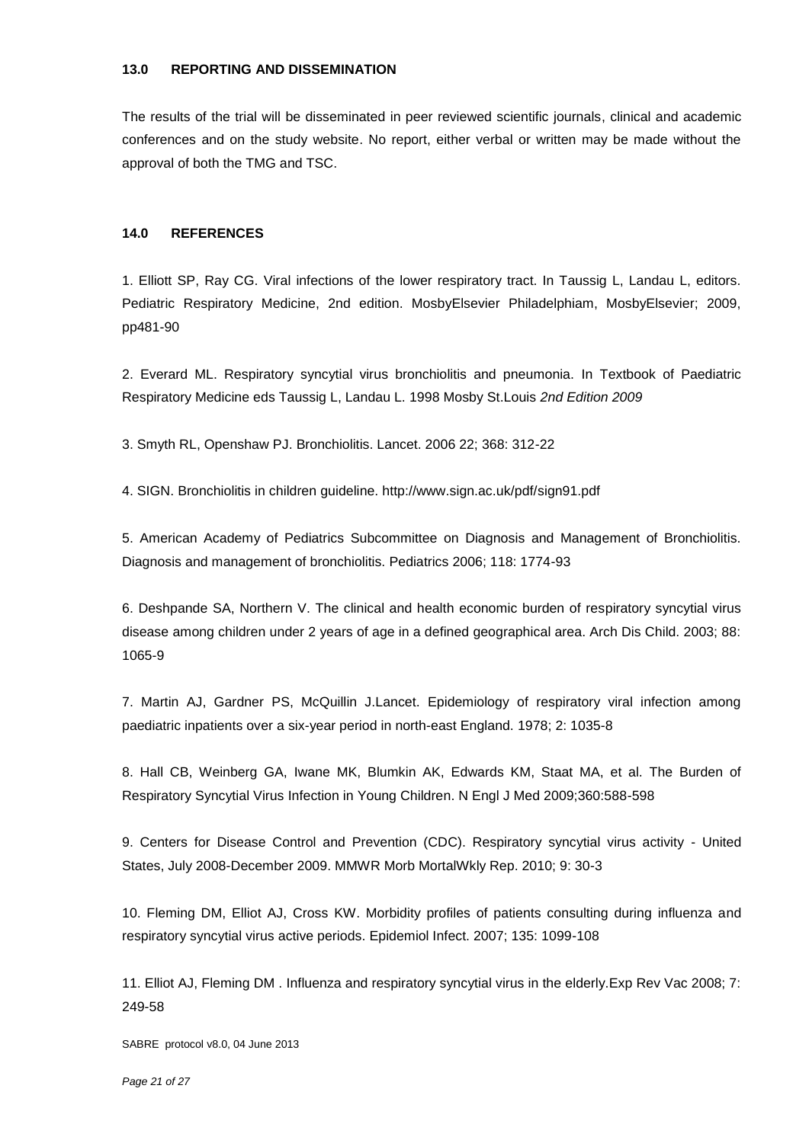#### **13.0 REPORTING AND DISSEMINATION**

The results of the trial will be disseminated in peer reviewed scientific journals, clinical and academic conferences and on the study website. No report, either verbal or written may be made without the approval of both the TMG and TSC.

#### **14.0 REFERENCES**

1. Elliott SP, Ray CG. Viral infections of the lower respiratory tract. In Taussig L, Landau L, editors. Pediatric Respiratory Medicine, 2nd edition. MosbyElsevier Philadelphiam, MosbyElsevier; 2009, pp481-90

2. Everard ML. Respiratory syncytial virus bronchiolitis and pneumonia. In Textbook of Paediatric Respiratory Medicine eds Taussig L, Landau L. 1998 Mosby St.Louis *2nd Edition 2009* 

3. Smyth RL, Openshaw PJ. Bronchiolitis. Lancet. 2006 22; 368: 312-22

4. SIGN. Bronchiolitis in children guideline. http://www.sign.ac.uk/pdf/sign91.pdf

5. American Academy of Pediatrics Subcommittee on Diagnosis and Management of Bronchiolitis. Diagnosis and management of bronchiolitis. Pediatrics 2006; 118: 1774-93

6. Deshpande SA, Northern V. The clinical and health economic burden of respiratory syncytial virus disease among children under 2 years of age in a defined geographical area. Arch Dis Child. 2003; 88: 1065-9

7. Martin AJ, Gardner PS, McQuillin J.Lancet. Epidemiology of respiratory viral infection among paediatric inpatients over a six-year period in north-east England. 1978; 2: 1035-8

8. Hall CB, Weinberg GA, Iwane MK, Blumkin AK, Edwards KM, Staat MA, et al. The Burden of Respiratory Syncytial Virus Infection in Young Children. N Engl J Med 2009;360:588-598

9. Centers for Disease Control and Prevention (CDC). Respiratory syncytial virus activity - United States, July 2008-December 2009. MMWR Morb MortalWkly Rep. 2010; 9: 30-3

10. Fleming DM, Elliot AJ, Cross KW. Morbidity profiles of patients consulting during influenza and respiratory syncytial virus active periods. Epidemiol Infect. 2007; 135: 1099-108

11. Elliot AJ, Fleming DM . Influenza and respiratory syncytial virus in the elderly.Exp Rev Vac 2008; 7: 249-58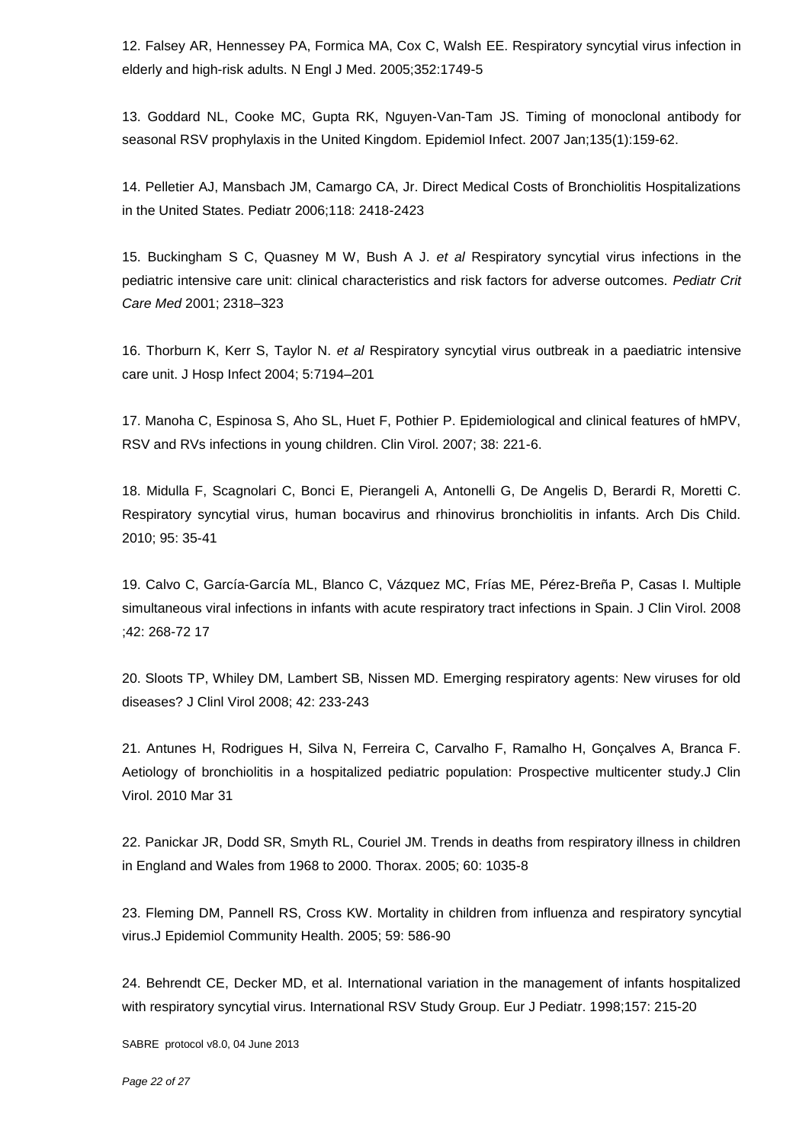12. Falsey AR, Hennessey PA, Formica MA, Cox C, Walsh EE. Respiratory syncytial virus infection in elderly and high-risk adults. N Engl J Med. 2005;352:1749-5

13. Goddard NL, Cooke MC, Gupta RK, Nguyen-Van-Tam JS. Timing of monoclonal antibody for seasonal RSV prophylaxis in the United Kingdom. Epidemiol Infect. 2007 Jan;135(1):159-62.

14. Pelletier AJ, Mansbach JM, Camargo CA, Jr. Direct Medical Costs of Bronchiolitis Hospitalizations in the United States. Pediatr 2006;118: 2418-2423

15. Buckingham S C, Quasney M W, Bush A J. *et al* Respiratory syncytial virus infections in the pediatric intensive care unit: clinical characteristics and risk factors for adverse outcomes. *Pediatr Crit Care Med* 2001; 2318–323

16. Thorburn K, Kerr S, Taylor N. *et al* Respiratory syncytial virus outbreak in a paediatric intensive care unit. J Hosp Infect 2004; 5:7194–201

17. Manoha C, Espinosa S, Aho SL, Huet F, Pothier P. Epidemiological and clinical features of hMPV, RSV and RVs infections in young children. Clin Virol. 2007; 38: 221-6.

18. Midulla F, Scagnolari C, Bonci E, Pierangeli A, Antonelli G, De Angelis D, Berardi R, Moretti C. Respiratory syncytial virus, human bocavirus and rhinovirus bronchiolitis in infants. Arch Dis Child. 2010; 95: 35-41

19. Calvo C, García-García ML, Blanco C, Vázquez MC, Frías ME, Pérez-Breña P, Casas I. Multiple simultaneous viral infections in infants with acute respiratory tract infections in Spain. J Clin Virol. 2008 ;42: 268-72 17

20. Sloots TP, Whiley DM, Lambert SB, Nissen MD. Emerging respiratory agents: New viruses for old diseases? J Clinl Virol 2008; 42: 233-243

21. Antunes H, Rodrigues H, Silva N, Ferreira C, Carvalho F, Ramalho H, Gonçalves A, Branca F. Aetiology of bronchiolitis in a hospitalized pediatric population: Prospective multicenter study.J Clin Virol. 2010 Mar 31

22. Panickar JR, Dodd SR, Smyth RL, Couriel JM. Trends in deaths from respiratory illness in children in England and Wales from 1968 to 2000. Thorax. 2005; 60: 1035-8

23. Fleming DM, Pannell RS, Cross KW. Mortality in children from influenza and respiratory syncytial virus.J Epidemiol Community Health. 2005; 59: 586-90

24. Behrendt CE, Decker MD, et al. International variation in the management of infants hospitalized with respiratory syncytial virus. International RSV Study Group. Eur J Pediatr. 1998;157: 215-20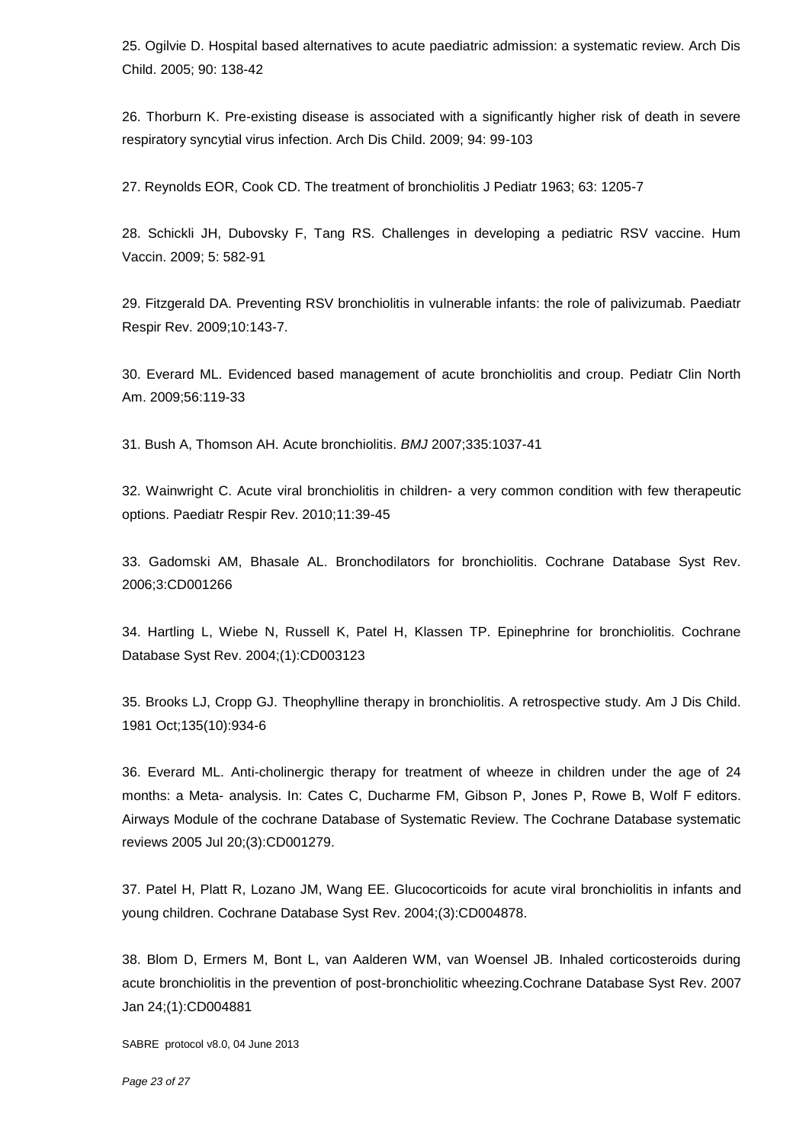25. Ogilvie D. Hospital based alternatives to acute paediatric admission: a systematic review. Arch Dis Child. 2005; 90: 138-42

26. Thorburn K. Pre-existing disease is associated with a significantly higher risk of death in severe respiratory syncytial virus infection. Arch Dis Child. 2009; 94: 99-103

27. Reynolds EOR, Cook CD. The treatment of bronchiolitis J Pediatr 1963; 63: 1205-7

28. Schickli JH, Dubovsky F, Tang RS. Challenges in developing a pediatric RSV vaccine. Hum Vaccin. 2009; 5: 582-91

29. Fitzgerald DA. Preventing RSV bronchiolitis in vulnerable infants: the role of palivizumab. Paediatr Respir Rev. 2009;10:143-7.

30. Everard ML. Evidenced based management of acute bronchiolitis and croup. Pediatr Clin North Am. 2009;56:119-33

31. Bush A, Thomson AH. Acute bronchiolitis. *BMJ* 2007;335:1037-41

32. Wainwright C. Acute viral bronchiolitis in children- a very common condition with few therapeutic options. Paediatr Respir Rev. 2010;11:39-45

33. Gadomski AM, Bhasale AL. Bronchodilators for bronchiolitis. Cochrane Database Syst Rev. 2006;3:CD001266

34. Hartling L, Wiebe N, Russell K, Patel H, Klassen TP. Epinephrine for bronchiolitis. Cochrane Database Syst Rev. 2004;(1):CD003123

35. Brooks LJ, Cropp GJ. Theophylline therapy in bronchiolitis. A retrospective study. Am J Dis Child. 1981 Oct;135(10):934-6

36. Everard ML. Anti-cholinergic therapy for treatment of wheeze in children under the age of 24 months: a Meta- analysis. In: Cates C, Ducharme FM, Gibson P, Jones P, Rowe B, Wolf F editors. Airways Module of the cochrane Database of Systematic Review. The Cochrane Database systematic reviews 2005 Jul 20;(3):CD001279.

37. Patel H, Platt R, Lozano JM, Wang EE. Glucocorticoids for acute viral bronchiolitis in infants and young children. Cochrane Database Syst Rev. 2004;(3):CD004878.

38. Blom D, Ermers M, Bont L, van Aalderen WM, van Woensel JB. Inhaled corticosteroids during acute bronchiolitis in the prevention of post-bronchiolitic wheezing.Cochrane Database Syst Rev. 2007 Jan 24;(1):CD004881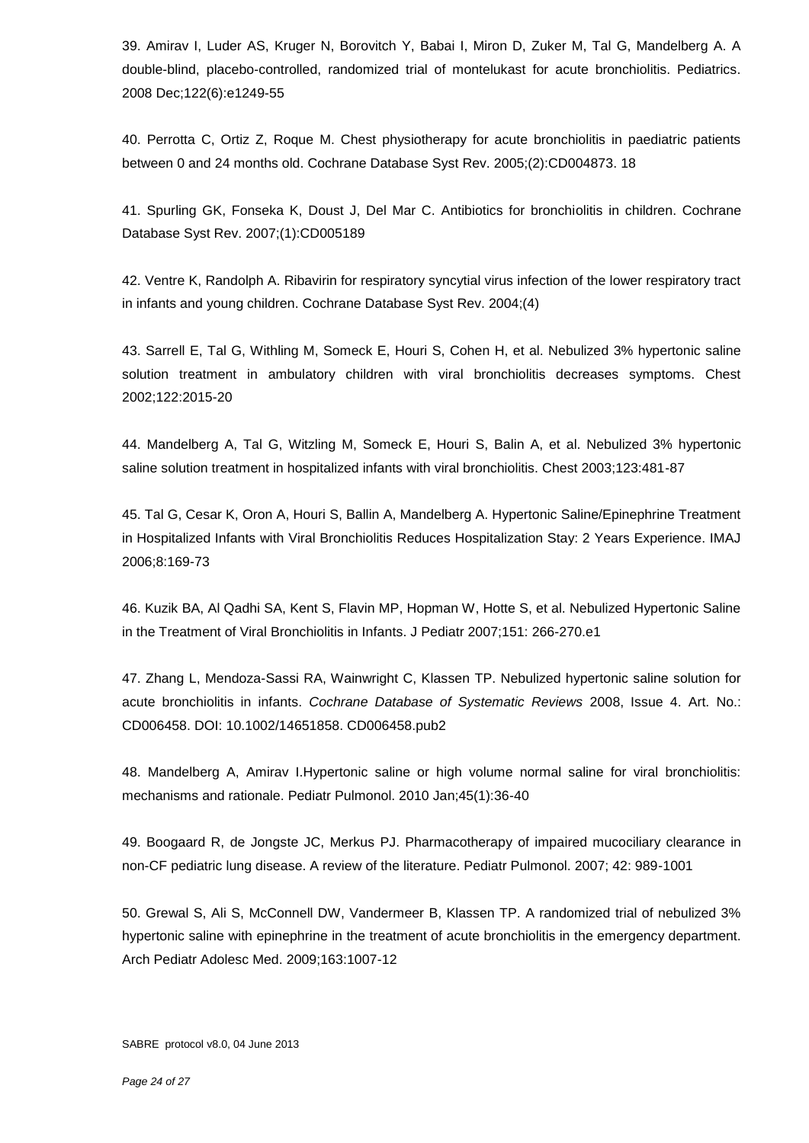39. Amirav I, Luder AS, Kruger N, Borovitch Y, Babai I, Miron D, Zuker M, Tal G, Mandelberg A. A double-blind, placebo-controlled, randomized trial of montelukast for acute bronchiolitis. Pediatrics. 2008 Dec;122(6):e1249-55

40. Perrotta C, Ortiz Z, Roque M. Chest physiotherapy for acute bronchiolitis in paediatric patients between 0 and 24 months old. Cochrane Database Syst Rev. 2005;(2):CD004873. 18

41. Spurling GK, Fonseka K, Doust J, Del Mar C. Antibiotics for bronchiolitis in children. Cochrane Database Syst Rev. 2007;(1):CD005189

42. Ventre K, Randolph A. Ribavirin for respiratory syncytial virus infection of the lower respiratory tract in infants and young children. Cochrane Database Syst Rev. 2004;(4)

43. Sarrell E, Tal G, Withling M, Someck E, Houri S, Cohen H, et al. Nebulized 3% hypertonic saline solution treatment in ambulatory children with viral bronchiolitis decreases symptoms. Chest 2002;122:2015-20

44. Mandelberg A, Tal G, Witzling M, Someck E, Houri S, Balin A, et al. Nebulized 3% hypertonic saline solution treatment in hospitalized infants with viral bronchiolitis. Chest 2003;123:481-87

45. Tal G, Cesar K, Oron A, Houri S, Ballin A, Mandelberg A. Hypertonic Saline/Epinephrine Treatment in Hospitalized Infants with Viral Bronchiolitis Reduces Hospitalization Stay: 2 Years Experience. IMAJ 2006;8:169-73

46. Kuzik BA, Al Qadhi SA, Kent S, Flavin MP, Hopman W, Hotte S, et al. Nebulized Hypertonic Saline in the Treatment of Viral Bronchiolitis in Infants. J Pediatr 2007;151: 266-270.e1

47. Zhang L, Mendoza-Sassi RA, Wainwright C, Klassen TP. Nebulized hypertonic saline solution for acute bronchiolitis in infants. *Cochrane Database of Systematic Reviews* 2008, Issue 4. Art. No.: CD006458. DOI: 10.1002/14651858. CD006458.pub2

48. Mandelberg A, Amirav I.Hypertonic saline or high volume normal saline for viral bronchiolitis: mechanisms and rationale. Pediatr Pulmonol. 2010 Jan;45(1):36-40

49. Boogaard R, de Jongste JC, Merkus PJ. Pharmacotherapy of impaired mucociliary clearance in non-CF pediatric lung disease. A review of the literature. Pediatr Pulmonol. 2007; 42: 989-1001

50. Grewal S, Ali S, McConnell DW, Vandermeer B, Klassen TP. A randomized trial of nebulized 3% hypertonic saline with epinephrine in the treatment of acute bronchiolitis in the emergency department. Arch Pediatr Adolesc Med. 2009;163:1007-12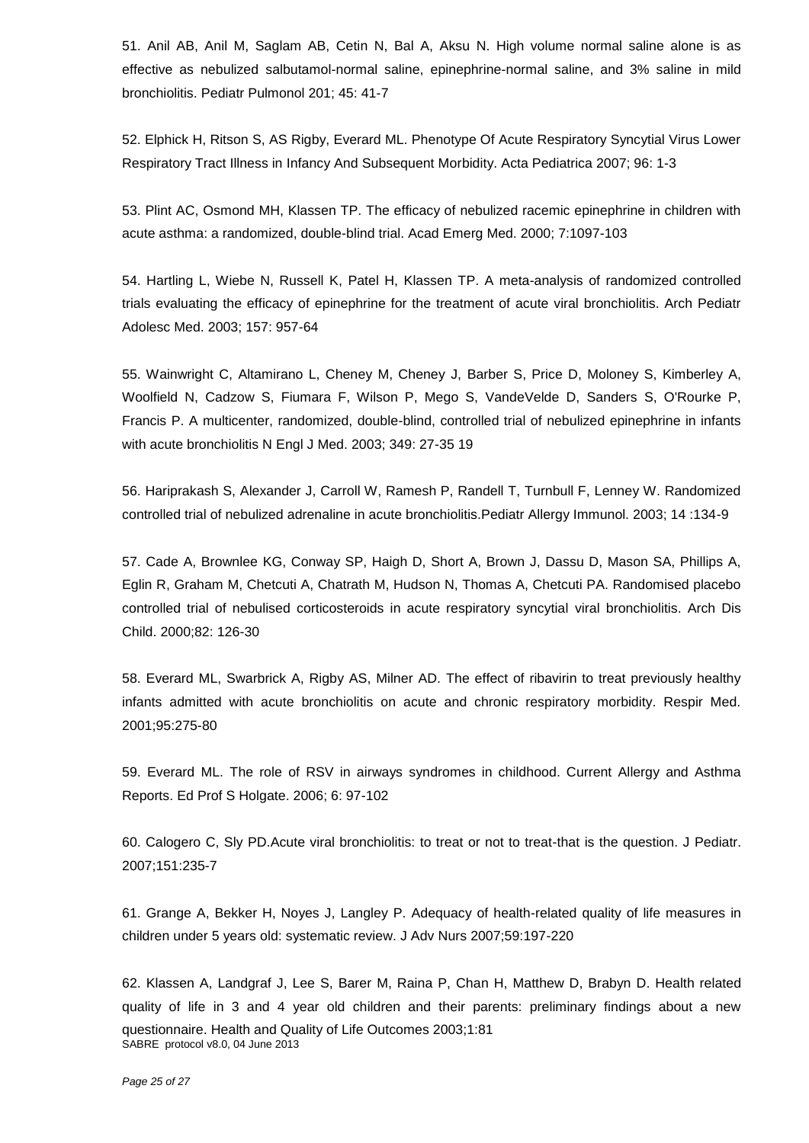51. Anil AB, Anil M, Saglam AB, Cetin N, Bal A, Aksu N. High volume normal saline alone is as effective as nebulized salbutamol-normal saline, epinephrine-normal saline, and 3% saline in mild bronchiolitis. Pediatr Pulmonol 201; 45: 41-7

52. Elphick H, Ritson S, AS Rigby, Everard ML. Phenotype Of Acute Respiratory Syncytial Virus Lower Respiratory Tract Illness in Infancy And Subsequent Morbidity. Acta Pediatrica 2007; 96: 1-3

53. Plint AC, Osmond MH, Klassen TP. The efficacy of nebulized racemic epinephrine in children with acute asthma: a randomized, double-blind trial. Acad Emerg Med. 2000; 7:1097-103

54. Hartling L, Wiebe N, Russell K, Patel H, Klassen TP. A meta-analysis of randomized controlled trials evaluating the efficacy of epinephrine for the treatment of acute viral bronchiolitis. Arch Pediatr Adolesc Med. 2003; 157: 957-64

55. Wainwright C, Altamirano L, Cheney M, Cheney J, Barber S, Price D, Moloney S, Kimberley A, Woolfield N, Cadzow S, Fiumara F, Wilson P, Mego S, VandeVelde D, Sanders S, O'Rourke P, Francis P. A multicenter, randomized, double-blind, controlled trial of nebulized epinephrine in infants with acute bronchiolitis N Engl J Med. 2003; 349: 27-35 19

56. Hariprakash S, Alexander J, Carroll W, Ramesh P, Randell T, Turnbull F, Lenney W. Randomized controlled trial of nebulized adrenaline in acute bronchiolitis.Pediatr Allergy Immunol. 2003; 14 :134-9

57. Cade A, Brownlee KG, Conway SP, Haigh D, Short A, Brown J, Dassu D, Mason SA, Phillips A, Eglin R, Graham M, Chetcuti A, Chatrath M, Hudson N, Thomas A, Chetcuti PA. Randomised placebo controlled trial of nebulised corticosteroids in acute respiratory syncytial viral bronchiolitis. Arch Dis Child. 2000;82: 126-30

58. Everard ML, Swarbrick A, Rigby AS, Milner AD. The effect of ribavirin to treat previously healthy infants admitted with acute bronchiolitis on acute and chronic respiratory morbidity. Respir Med. 2001;95:275-80

59. Everard ML. The role of RSV in airways syndromes in childhood. Current Allergy and Asthma Reports. Ed Prof S Holgate. 2006; 6: 97-102

60. Calogero C, Sly PD.Acute viral bronchiolitis: to treat or not to treat-that is the question. J Pediatr. 2007;151:235-7

61. Grange A, Bekker H, Noyes J, Langley P. Adequacy of health-related quality of life measures in children under 5 years old: systematic review. J Adv Nurs 2007;59:197-220

SABRE protocol v8.0, 04 June 2013 62. Klassen A, Landgraf J, Lee S, Barer M, Raina P, Chan H, Matthew D, Brabyn D. Health related quality of life in 3 and 4 year old children and their parents: preliminary findings about a new questionnaire. Health and Quality of Life Outcomes 2003;1:81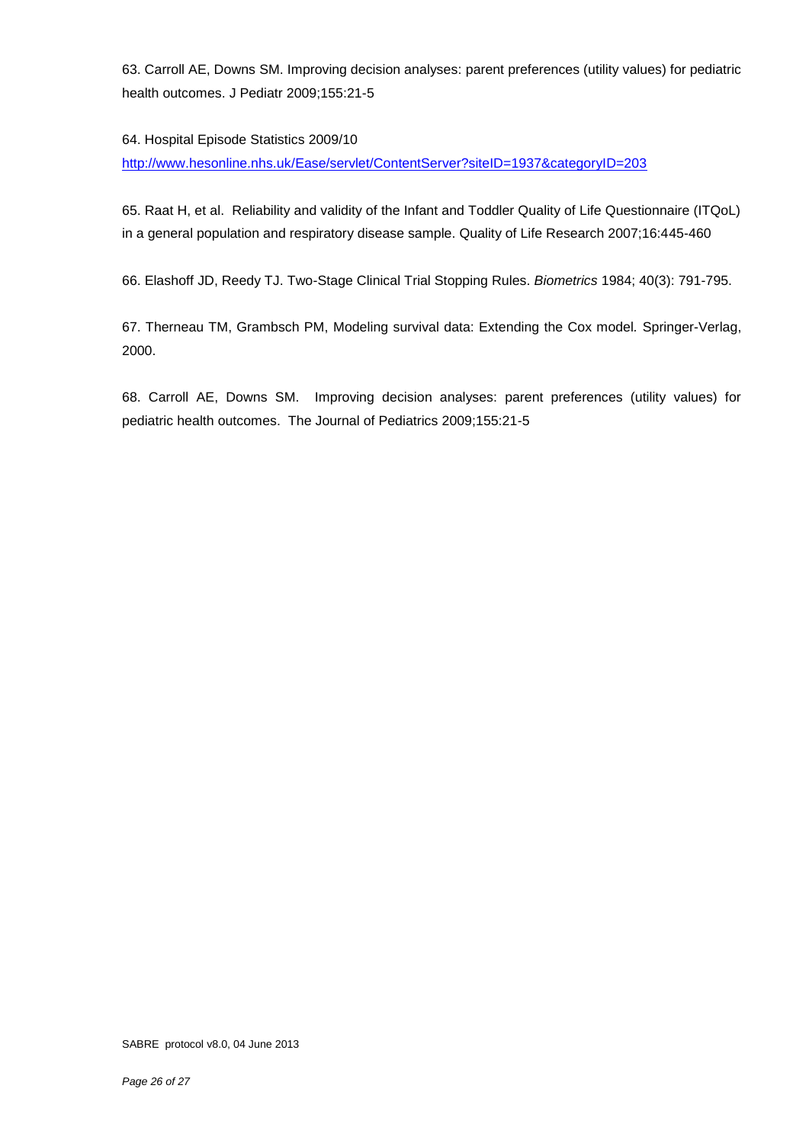63. Carroll AE, Downs SM. Improving decision analyses: parent preferences (utility values) for pediatric health outcomes. J Pediatr 2009;155:21-5

#### 64. Hospital Episode Statistics 2009/10

<http://www.hesonline.nhs.uk/Ease/servlet/ContentServer?siteID=1937&categoryID=203>

65. Raat H, et al. Reliability and validity of the Infant and Toddler Quality of Life Questionnaire (ITQoL) in a general population and respiratory disease sample. Quality of Life Research 2007;16:445-460

66. Elashoff JD, Reedy TJ. Two-Stage Clinical Trial Stopping Rules. *Biometrics* 1984; 40(3): 791-795.

67. Therneau TM, Grambsch PM, Modeling survival data: Extending the Cox model*.* Springer-Verlag, 2000.

68. Carroll AE, Downs SM. Improving decision analyses: parent preferences (utility values) for pediatric health outcomes. The Journal of Pediatrics 2009;155:21-5